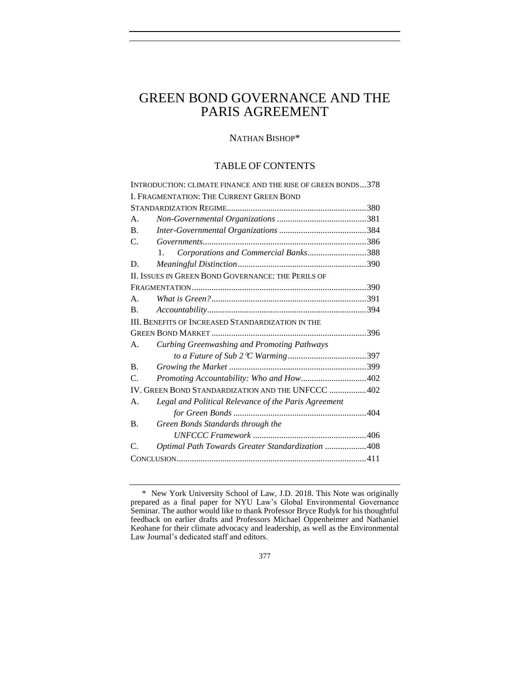# GREEN BOND GOVERNANCE AND THE PARIS AGREEMENT

# NATHAN BISHOP\*

# TABLE OF CONTENTS

|                                                           | INTRODUCTION: CLIMATE FINANCE AND THE RISE OF GREEN BONDS378 |  |
|-----------------------------------------------------------|--------------------------------------------------------------|--|
| I. FRAGMENTATION: THE CURRENT GREEN BOND                  |                                                              |  |
|                                                           |                                                              |  |
| А.                                                        |                                                              |  |
| $\mathbf{B}$ .                                            |                                                              |  |
| $\mathcal{C}$ .                                           |                                                              |  |
|                                                           | Corporations and Commercial Banks388<br>$\mathbf{1}$ .       |  |
| D.                                                        |                                                              |  |
| <b>II. ISSUES IN GREEN BOND GOVERNANCE: THE PERILS OF</b> |                                                              |  |
|                                                           |                                                              |  |
| A.                                                        |                                                              |  |
| <b>B.</b>                                                 |                                                              |  |
| <b>III. BENEFITS OF INCREASED STANDARDIZATION IN THE</b>  |                                                              |  |
|                                                           |                                                              |  |
| A.                                                        | Curbing Greenwashing and Promoting Pathways                  |  |
|                                                           |                                                              |  |
| <b>B.</b>                                                 |                                                              |  |
| $\mathcal{C}$                                             | Promoting Accountability: Who and How402                     |  |
| IV. GREEN BOND STANDARDIZATION AND THE UNFCCC 402         |                                                              |  |
| А.                                                        | Legal and Political Relevance of the Paris Agreement         |  |
|                                                           |                                                              |  |
| <b>B.</b>                                                 | Green Bonds Standards through the                            |  |
|                                                           |                                                              |  |
| $\mathcal{C}$                                             | Optimal Path Towards Greater Standardization 408             |  |
|                                                           |                                                              |  |
|                                                           |                                                              |  |

<sup>\*</sup> New York University School of Law, J.D. 2018. This Note was originally prepared as a final paper for NYU Law's Global Environmental Governance Seminar. The author would like to thank Professor Bryce Rudyk for his thoughtful feedback on earlier drafts and Professors Michael Oppenheimer and Nathaniel Keohane for their climate advocacy and leadership, as well as the Environmental Law Journal's dedicated staff and editors.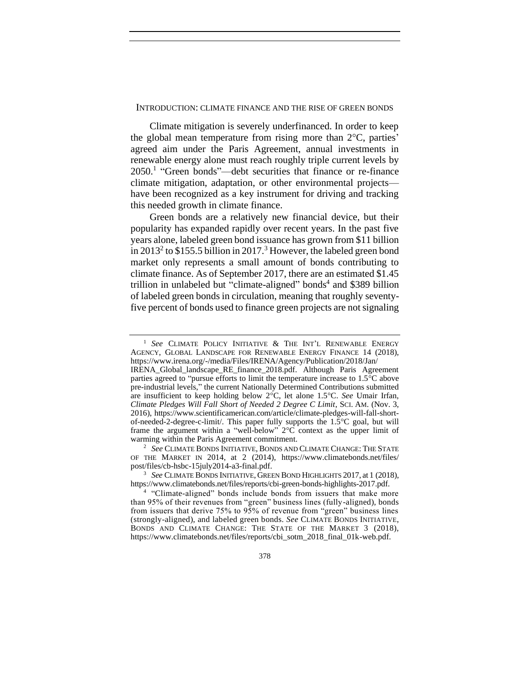### <span id="page-1-0"></span>INTRODUCTION: CLIMATE FINANCE AND THE RISE OF GREEN BONDS

Climate mitigation is severely underfinanced. In order to keep the global mean temperature from rising more than  $2^{\circ}$ C, parties' agreed aim under the Paris Agreement, annual investments in renewable energy alone must reach roughly triple current levels by 2050.<sup>1</sup> "Green bonds"—debt securities that finance or re-finance climate mitigation, adaptation, or other environmental projects have been recognized as a key instrument for driving and tracking this needed growth in climate finance.

Green bonds are a relatively new financial device, but their popularity has expanded rapidly over recent years. In the past five years alone, labeled green bond issuance has grown from \$11 billion in 2013<sup>2</sup> to \$155.5 billion in 2017.<sup>3</sup> However, the labeled green bond market only represents a small amount of bonds contributing to climate finance. As of September 2017, there are an estimated \$1.45 trillion in unlabeled but "climate-aligned" bonds<sup>4</sup> and \$389 billion of labeled green bonds in circulation, meaning that roughly seventyfive percent of bonds used to finance green projects are not signaling

<sup>1</sup> *See* CLIMATE POLICY INITIATIVE & THE INT'L RENEWABLE ENERGY AGENCY, GLOBAL LANDSCAPE FOR RENEWABLE ENERGY FINANCE 14 (2018), https://www.irena.org/-/media/Files/IRENA/Agency/Publication/2018/Jan/

<sup>2</sup> *See* CLIMATE BONDS INITIATIVE, BONDS AND CLIMATE CHANGE: THE STATE OF THE MARKET IN 2014, at 2 (2014), https://www.climatebonds.net/files/ post/files/cb-hsbc-15july2014-a3-final.pdf.

IRENA\_Global\_landscape\_RE\_finance\_2018.pdf. Although Paris Agreement parties agreed to "pursue efforts to limit the temperature increase to  $1.5^{\circ}$ C above pre-industrial levels," the current Nationally Determined Contributions submitted are insufficient to keep holding below  $2^{\circ}C$ , let alone 1.5°C. *See* Umair Irfan, *Climate Pledges Will Fall Short of Needed 2 Degree C Limit*, SCI. AM. (Nov. 3, 2016), https://www.scientificamerican.com/article/climate-pledges-will-fall-shortof-needed-2-degree-c-limit/. This paper fully supports the  $1.5^{\circ}$ C goal, but will frame the argument within a "well-below"  $2^{\circ}$ C context as the upper limit of warming within the Paris Agreement commitment.

<sup>&</sup>lt;sup>3</sup> See CLIMATE BONDS INITIATIVE, GREEN BOND HIGHLIGHTS 2017, at 1 (2018), https://www.climatebonds.net/files/reports/cbi-green-bonds-highlights-2017.pdf.

<sup>&</sup>lt;sup>4</sup> "Climate-aligned" bonds include bonds from issuers that make more than 95% of their revenues from "green" business lines (fully-aligned), bonds from issuers that derive 75% to 95% of revenue from "green" business lines (strongly-aligned), and labeled green bonds. *See* CLIMATE BONDS INITIATIVE, BONDS AND CLIMATE CHANGE: THE STATE OF THE MARKET 3 (2018), https://www.climatebonds.net/files/reports/cbi\_sotm\_2018\_final\_01k-web.pdf.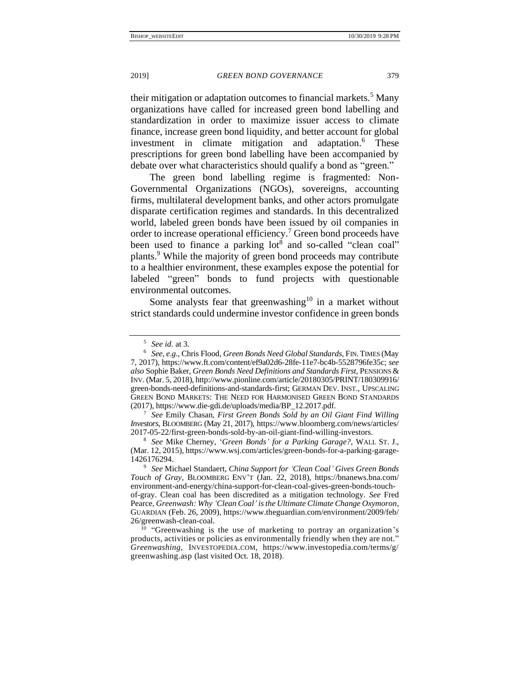their mitigation or adaptation outcomes to financial markets.<sup>5</sup> Many organizations have called for increased green bond labelling and standardization in order to maximize issuer access to climate finance, increase green bond liquidity, and better account for global investment in climate mitigation and adaptation.<sup>6</sup> These prescriptions for green bond labelling have been accompanied by debate over what characteristics should qualify a bond as "green."

<span id="page-2-3"></span><span id="page-2-0"></span>The green bond labelling regime is fragmented: Non-Governmental Organizations (NGOs), sovereigns, accounting firms, multilateral development banks, and other actors promulgate disparate certification regimes and standards. In this decentralized world, labeled green bonds have been issued by oil companies in order to increase operational efficiency.<sup>7</sup> Green bond proceeds have been used to finance a parking  $\text{lot}^8$  and so-called "clean coal" plants.<sup>9</sup> While the majority of green bond proceeds may contribute to a healthier environment, these examples expose the potential for labeled "green" bonds to fund projects with questionable environmental outcomes.

<span id="page-2-2"></span><span id="page-2-1"></span>Some analysts fear that greenwashing<sup>10</sup> in a market without strict standards could undermine investor confidence in green bonds

<sup>5</sup> *See id.* at 3*.*

<sup>6</sup> *See, e.g.*, Chris Flood, *Green Bonds Need Global Standards*, FIN.TIMES (May 7, 2017), https://www.ft.com/content/ef9a02d6-28fe-11e7-bc4b-5528796fe35c; *see also* Sophie Baker, *Green Bonds Need Definitions and Standards First*, PENSIONS & INV. (Mar. 5, 2018), http://www.pionline.com/article/20180305/PRINT/180309916/ green-bonds-need-definitions-and-standards-first; GERMAN DEV. INST., UPSCALING GREEN BOND MARKETS: THE NEED FOR HARMONISED GREEN BOND STANDARDS (2017), https://www.die-gdi.de/uploads/media/BP\_12.2017.pdf.

<sup>7</sup> *See* Emily Chasan, *First Green Bonds Sold by an Oil Giant Find Willing Investors*, BLOOMBERG (May 21, 2017), https://www.bloomberg.com/news/articles/ 2017-05-22/first-green-bonds-sold-by-an-oil-giant-find-willing-investors.

<sup>8</sup> *See* Mike Cherney, '*Green Bonds' for a Parking Garage?*, WALL ST. J., (Mar. 12, 2015), https://www.wsj.com/articles/green-bonds-for-a-parking-garage-1426176294.

<sup>9</sup> *See* Michael Standaert, *China Support for 'Clean Coal' Gives Green Bonds Touch of Gray*, BLOOMBERG ENV'T (Jan. 22, 2018), https://bnanews.bna.com/ environment-and-energy/china-support-for-clean-coal-gives-green-bonds-touchof-gray. Clean coal has been discredited as a mitigation technology. *See* Fred Pearce, *Greenwash: Why 'Clean Coal' is the Ultimate Climate Change Oxymoron*, GUARDIAN (Feb. 26, 2009), https://www.theguardian.com/environment/2009/feb/ 26/greenwash-clean-coal.

<sup>&</sup>lt;sup>10</sup> "Greenwashing is the use of marketing to portray an organization's products, activities or policies as environmentally friendly when they are not." *Greenwashing*, INVESTOPEDIA.COM, https://www.investopedia.com/terms/g/ greenwashing.asp (last visited Oct. 18, 2018).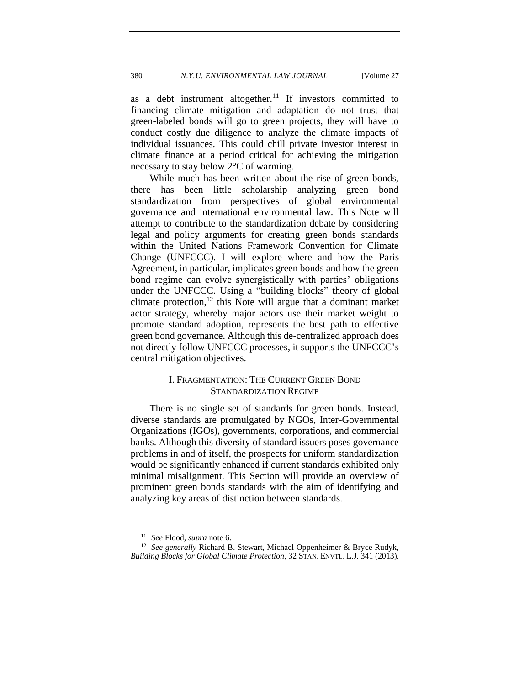as a debt instrument altogether.<sup>11</sup> If investors committed to financing climate mitigation and adaptation do not trust that green-labeled bonds will go to green projects, they will have to conduct costly due diligence to analyze the climate impacts of individual issuances. This could chill private investor interest in climate finance at a period critical for achieving the mitigation necessary to stay below 2°C of warming.

While much has been written about the rise of green bonds, there has been little scholarship analyzing green bond standardization from perspectives of global environmental governance and international environmental law. This Note will attempt to contribute to the standardization debate by considering legal and policy arguments for creating green bonds standards within the United Nations Framework Convention for Climate Change (UNFCCC). I will explore where and how the Paris Agreement, in particular, implicates green bonds and how the green bond regime can evolve synergistically with parties' obligations under the UNFCCC. Using a "building blocks" theory of global climate protection,<sup>12</sup> this Note will argue that a dominant market actor strategy, whereby major actors use their market weight to promote standard adoption, represents the best path to effective green bond governance. Although this de-centralized approach does not directly follow UNFCCC processes, it supports the UNFCCC's central mitigation objectives.

# <span id="page-3-1"></span>I. FRAGMENTATION: THE CURRENT GREEN BOND STANDARDIZATION REGIME

<span id="page-3-0"></span>There is no single set of standards for green bonds. Instead, diverse standards are promulgated by NGOs, Inter-Governmental Organizations (IGOs), governments, corporations, and commercial banks. Although this diversity of standard issuers poses governance problems in and of itself, the prospects for uniform standardization would be significantly enhanced if current standards exhibited only minimal misalignment. This Section will provide an overview of prominent green bonds standards with the aim of identifying and analyzing key areas of distinction between standards.

<sup>11</sup> *See* Flood, *supra* note [6.](#page-2-0)

<sup>&</sup>lt;sup>12</sup> See generally Richard B. Stewart, Michael Oppenheimer & Bryce Rudyk, *Building Blocks for Global Climate Protection*, 32 STAN. ENVTL. L.J. 341 (2013).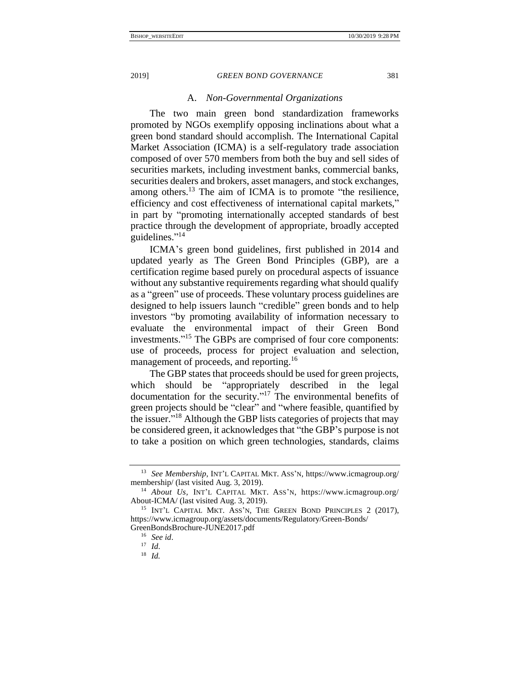#### A. *Non-Governmental Organizations*

<span id="page-4-0"></span>The two main green bond standardization frameworks promoted by NGOs exemplify opposing inclinations about what a green bond standard should accomplish. The International Capital Market Association (ICMA) is a self-regulatory trade association composed of over 570 members from both the buy and sell sides of securities markets, including investment banks, commercial banks, securities dealers and brokers, asset managers, and stock exchanges, among others.<sup>13</sup> The aim of ICMA is to promote "the resilience, efficiency and cost effectiveness of international capital markets," in part by "promoting internationally accepted standards of best practice through the development of appropriate, broadly accepted guidelines."<sup>14</sup>

ICMA's green bond guidelines, first published in 2014 and updated yearly as The Green Bond Principles (GBP), are a certification regime based purely on procedural aspects of issuance without any substantive requirements regarding what should qualify as a "green" use of proceeds. These voluntary process guidelines are designed to help issuers launch "credible" green bonds and to help investors "by promoting availability of information necessary to evaluate the environmental impact of their Green Bond investments." <sup>15</sup> The GBPs are comprised of four core components: use of proceeds, process for project evaluation and selection, management of proceeds, and reporting.<sup>16</sup>

The GBP states that proceeds should be used for green projects, which should be "appropriately described in the legal documentation for the security."<sup>17</sup> The environmental benefits of green projects should be "clear" and "where feasible, quantified by the issuer."<sup>18</sup> Although the GBP lists categories of projects that may be considered green, it acknowledges that "the GBP's purpose is not to take a position on which green technologies, standards, claims

<sup>13</sup> *See Membership*, INT'L CAPITAL MKT. ASS'N, https://www.icmagroup.org/ membership/ (last visited Aug. 3, 2019).

<sup>14</sup> *About Us,* INT'L CAPITAL MKT. ASS'N, https://www.icmagroup.org/ About-ICMA/ (last visited Aug. 3, 2019).

<sup>&</sup>lt;sup>15</sup> INT'L CAPITAL MKT. ASS'N, THE GREEN BOND PRINCIPLES 2 (2017), https://www.icmagroup.org/assets/documents/Regulatory/Green-Bonds/ GreenBondsBrochure-JUNE2017.pdf

<sup>16</sup> *See id*.

<sup>17</sup> *Id*.

<sup>18</sup> *Id.*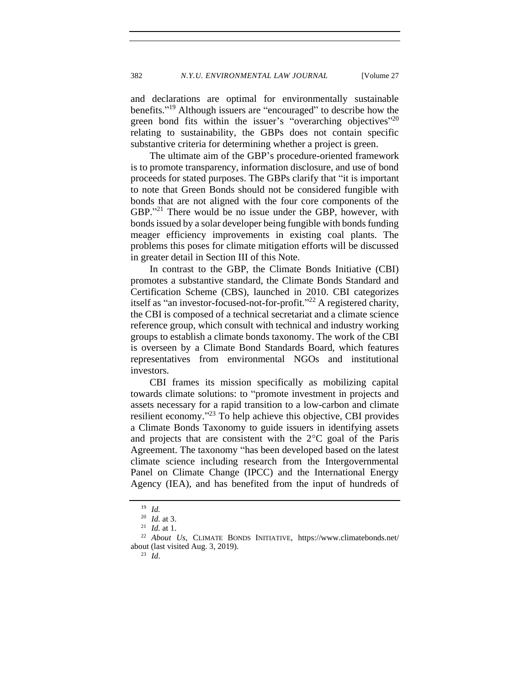and declarations are optimal for environmentally sustainable benefits." <sup>19</sup> Although issuers are "encouraged" to describe how the green bond fits within the issuer's "overarching objectives"<sup>20</sup> relating to sustainability, the GBPs does not contain specific substantive criteria for determining whether a project is green.

The ultimate aim of the GBP's procedure-oriented framework is to promote transparency, information disclosure, and use of bond proceeds for stated purposes. The GBPs clarify that "it is important to note that Green Bonds should not be considered fungible with bonds that are not aligned with the four core components of the GBP."<sup>21</sup> There would be no issue under the GBP, however, with bonds issued by a solar developer being fungible with bonds funding meager efficiency improvements in existing coal plants. The problems this poses for climate mitigation efforts will be discussed in greater detail in Section III of this Note.

In contrast to the GBP, the Climate Bonds Initiative (CBI) promotes a substantive standard, the Climate Bonds Standard and Certification Scheme (CBS), launched in 2010. CBI categorizes itself as "an investor-focused-not-for-profit." <sup>22</sup> A registered charity, the CBI is composed of a technical secretariat and a climate science reference group, which consult with technical and industry working groups to establish a climate bonds taxonomy. The work of the CBI is overseen by a Climate Bond Standards Board, which features representatives from environmental NGOs and institutional investors.

CBI frames its mission specifically as mobilizing capital towards climate solutions: to "promote investment in projects and assets necessary for a rapid transition to a low-carbon and climate resilient economy."<sup>23</sup> To help achieve this objective, CBI provides a Climate Bonds Taxonomy to guide issuers in identifying assets and projects that are consistent with the  $2^{\circ}$ C goal of the Paris Agreement. The taxonomy "has been developed based on the latest climate science including research from the Intergovernmental Panel on Climate Change (IPCC) and the International Energy Agency (IEA), and has benefited from the input of hundreds of

<sup>19</sup> *Id.*

<sup>20</sup> *Id.* at 3.

<sup>21</sup> *Id.* at 1.

<sup>22</sup> *About Us,* CLIMATE BONDS INITIATIVE, https://www.climatebonds.net/ about (last visited Aug. 3, 2019).

<sup>23</sup> *Id*.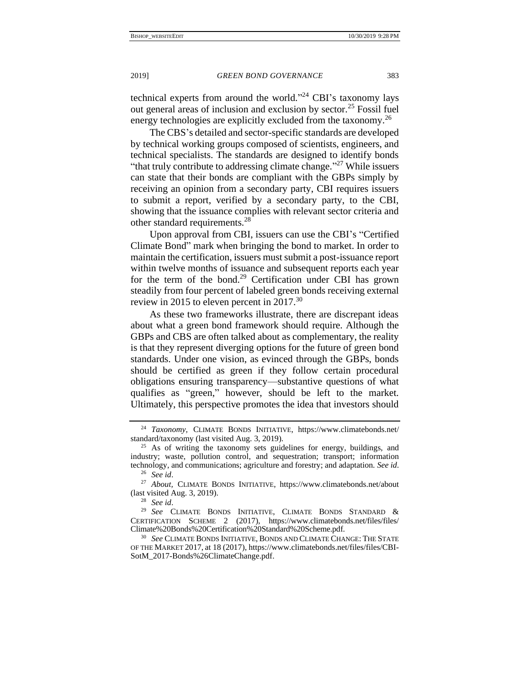technical experts from around the world." <sup>24</sup> CBI's taxonomy lays out general areas of inclusion and exclusion by sector.<sup>25</sup> Fossil fuel energy technologies are explicitly excluded from the taxonomy.<sup>26</sup>

<span id="page-6-0"></span>The CBS's detailed and sector-specific standards are developed by technical working groups composed of scientists, engineers, and technical specialists. The standards are designed to identify bonds "that truly contribute to addressing climate change."<sup>27</sup> While issuers can state that their bonds are compliant with the GBPs simply by receiving an opinion from a secondary party, CBI requires issuers to submit a report, verified by a secondary party, to the CBI, showing that the issuance complies with relevant sector criteria and other standard requirements.<sup>28</sup>

Upon approval from CBI, issuers can use the CBI's "Certified Climate Bond" mark when bringing the bond to market. In order to maintain the certification, issuers must submit a post-issuance report within twelve months of issuance and subsequent reports each year for the term of the bond.<sup>29</sup> Certification under CBI has grown steadily from four percent of labeled green bonds receiving external review in 2015 to eleven percent in  $2017.^{30}$ 

<span id="page-6-1"></span>As these two frameworks illustrate, there are discrepant ideas about what a green bond framework should require. Although the GBPs and CBS are often talked about as complementary, the reality is that they represent diverging options for the future of green bond standards. Under one vision, as evinced through the GBPs, bonds should be certified as green if they follow certain procedural obligations ensuring transparency—substantive questions of what qualifies as "green," however, should be left to the market. Ultimately, this perspective promotes the idea that investors should

<sup>24</sup> *Taxonomy,* CLIMATE BONDS INITIATIVE, https://www.climatebonds.net/ standard/taxonomy (last visited Aug. 3, 2019).

<sup>&</sup>lt;sup>25</sup> As of writing the taxonomy sets guidelines for energy, buildings, and industry; waste, pollution control, and sequestration; transport; information technology, and communications; agriculture and forestry; and adaptation. *See id*. <sup>26</sup> *See id*.

<sup>27</sup> *About,* CLIMATE BONDS INITIATIVE, https://www.climatebonds.net/about (last visited Aug. 3, 2019).

<sup>28</sup> *See id*.

<sup>29</sup> *See* CLIMATE BONDS INITIATIVE, CLIMATE BONDS STANDARD & CERTIFICATION SCHEME 2 (2017), https://www.climatebonds.net/files/files/ Climate%20Bonds%20Certification%20Standard%20Scheme.pdf.

<sup>30</sup> *See* CLIMATE BONDS INITIATIVE, BONDS AND CLIMATE CHANGE: THE STATE OF THE MARKET 2017, at 18 (2017), https://www.climatebonds.net/files/files/CBI-SotM\_2017-Bonds%26ClimateChange.pdf.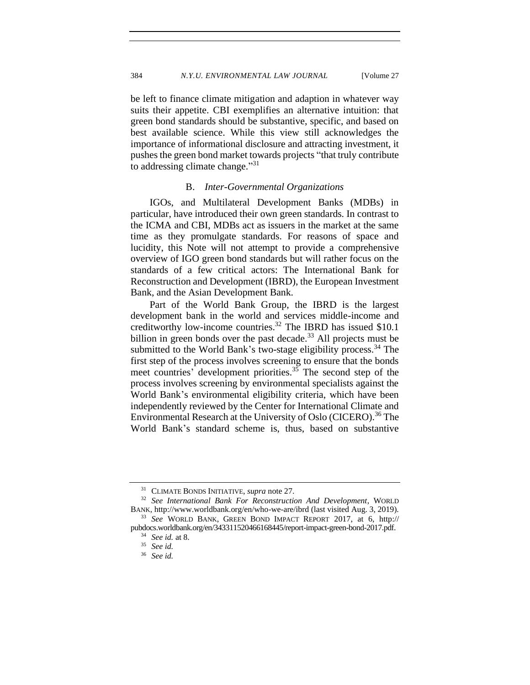be left to finance climate mitigation and adaption in whatever way suits their appetite. CBI exemplifies an alternative intuition: that green bond standards should be substantive, specific, and based on best available science. While this view still acknowledges the importance of informational disclosure and attracting investment, it pushes the green bond market towards projects "that truly contribute to addressing climate change."<sup>31</sup>

### B. *Inter-Governmental Organizations*

<span id="page-7-0"></span>IGOs, and Multilateral Development Banks (MDBs) in particular, have introduced their own green standards. In contrast to the ICMA and CBI, MDBs act as issuers in the market at the same time as they promulgate standards. For reasons of space and lucidity, this Note will not attempt to provide a comprehensive overview of IGO green bond standards but will rather focus on the standards of a few critical actors: The International Bank for Reconstruction and Development (IBRD), the European Investment Bank, and the Asian Development Bank.

Part of the World Bank Group, the IBRD is the largest development bank in the world and services middle-income and creditworthy low-income countries.<sup>32</sup> The IBRD has issued \$10.1 billion in green bonds over the past decade.<sup>33</sup> All projects must be submitted to the World Bank's two-stage eligibility process.<sup>34</sup> The first step of the process involves screening to ensure that the bonds meet countries' development priorities.<sup>35</sup> The second step of the process involves screening by environmental specialists against the World Bank's environmental eligibility criteria, which have been independently reviewed by the Center for International Climate and Environmental Research at the University of Oslo (CICERO).<sup>36</sup> The World Bank's standard scheme is, thus, based on substantive

<sup>31</sup> CLIMATE BONDS INITIATIVE, *supra* not[e 27.](#page-6-0)

<sup>32</sup> *See International Bank For Reconstruction And Development*, WORLD BANK, http://www.worldbank.org/en/who-we-are/ibrd (last visited Aug. 3, 2019). <sup>33</sup> *See* WORLD BANK, GREEN BOND IMPACT REPORT 2017, at 6, http://

pubdocs.worldbank.org/en/343311520466168445/report-impact-green-bond-2017.pdf. <sup>34</sup> *See id.* at 8.

<sup>35</sup> *See id.*

<sup>36</sup> *See id.*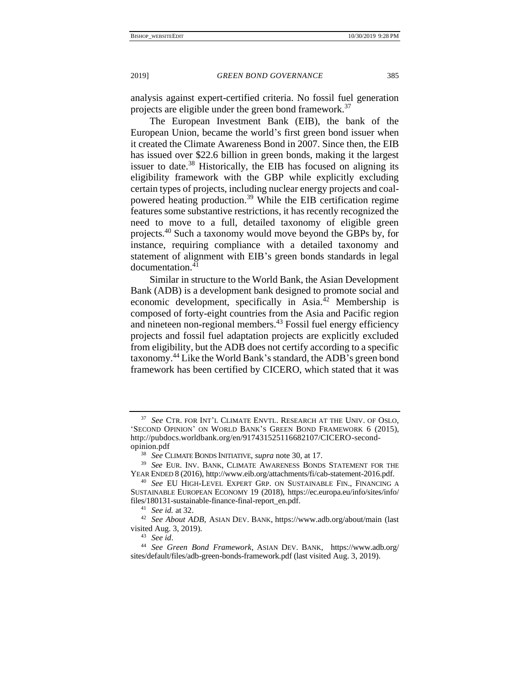analysis against expert-certified criteria. No fossil fuel generation projects are eligible under the green bond framework.<sup>37</sup>

The European Investment Bank (EIB), the bank of the European Union, became the world's first green bond issuer when it created the Climate Awareness Bond in 2007. Since then, the EIB has issued over \$22.6 billion in green bonds, making it the largest issuer to date.<sup>38</sup> Historically, the EIB has focused on aligning its eligibility framework with the GBP while explicitly excluding certain types of projects, including nuclear energy projects and coalpowered heating production.<sup>39</sup> While the EIB certification regime features some substantive restrictions, it has recently recognized the need to move to a full, detailed taxonomy of eligible green projects.<sup>40</sup> Such a taxonomy would move beyond the GBPs by, for instance, requiring compliance with a detailed taxonomy and statement of alignment with EIB's green bonds standards in legal documentation.<sup>41</sup>

Similar in structure to the World Bank, the Asian Development Bank (ADB) is a development bank designed to promote social and economic development, specifically in Asia.<sup>42</sup> Membership is composed of forty-eight countries from the Asia and Pacific region and nineteen non-regional members.<sup>43</sup> Fossil fuel energy efficiency projects and fossil fuel adaptation projects are explicitly excluded from eligibility, but the ADB does not certify according to a specific taxonomy.<sup>44</sup> Like the World Bank's standard, the ADB's green bond framework has been certified by CICERO, which stated that it was

<sup>37</sup> *See* CTR. FOR INT'L CLIMATE ENVTL. RESEARCH AT THE UNIV. OF OSLO, 'SECOND OPINION' ON WORLD BANK'S GREEN BOND FRAMEWORK 6 (2015), http://pubdocs.worldbank.org/en/917431525116682107/CICERO-secondopinion.pdf

<sup>38</sup> *See* CLIMATE BONDS INITIATIVE, *supra* not[e 30,](#page-6-1) at 17.

<sup>39</sup> *See* EUR. INV. BANK, CLIMATE AWARENESS BONDS STATEMENT FOR THE YEAR ENDED 8 (2016), http://www.eib.org/attachments/fi/cab-statement-2016.pdf.

<sup>40</sup> *See* EU HIGH-LEVEL EXPERT GRP. ON SUSTAINABLE FIN., FINANCING A SUSTAINABLE EUROPEAN ECONOMY 19 (2018), https://ec.europa.eu/info/sites/info/ files/180131-sustainable-finance-final-report\_en.pdf.

<sup>41</sup> *See id.* at 32.

<sup>42</sup> *See About ADB,* ASIAN DEV. BANK, https://www.adb.org/about/main (last visited Aug. 3, 2019).

<sup>43</sup> *See id*.

<sup>44</sup> *See Green Bond Framework*, ASIAN DEV. BANK, https://www.adb.org/ sites/default/files/adb-green-bonds-framework.pdf (last visited Aug. 3, 2019).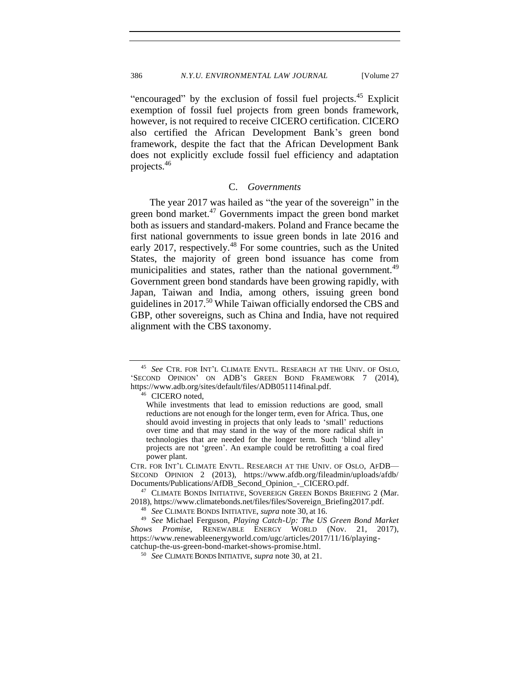"encouraged" by the exclusion of fossil fuel projects.<sup>45</sup> Explicit exemption of fossil fuel projects from green bonds framework, however, is not required to receive CICERO certification. CICERO also certified the African Development Bank's green bond framework, despite the fact that the African Development Bank does not explicitly exclude fossil fuel efficiency and adaptation projects.<sup>46</sup>

### C. *Governments*

<span id="page-9-0"></span>The year 2017 was hailed as "the year of the sovereign" in the green bond market. $47$  Governments impact the green bond market both as issuers and standard-makers. Poland and France became the first national governments to issue green bonds in late 2016 and early 2017, respectively.<sup>48</sup> For some countries, such as the United States, the majority of green bond issuance has come from municipalities and states, rather than the national government.<sup>49</sup> Government green bond standards have been growing rapidly, with Japan, Taiwan and India, among others, issuing green bond guidelines in 2017.<sup>50</sup> While Taiwan officially endorsed the CBS and GBP, other sovereigns, such as China and India, have not required alignment with the CBS taxonomy.

<sup>46</sup> CICERO noted,

CTR. FOR INT'L CLIMATE ENVTL. RESEARCH AT THE UNIV. OF OSLO, AFDB— SECOND OPINION 2 (2013), https://www.afdb.org/fileadmin/uploads/afdb/ Documents/Publications/AfDB\_Second\_Opinion\_-\_CICERO.pdf.

<sup>47</sup> CLIMATE BONDS INITIATIVE, SOVEREIGN GREEN BONDS BRIEFING 2 (Mar. 2018), https://www.climatebonds.net/files/files/Sovereign\_Briefing2017.pdf.

<sup>48</sup> *See* CLIMATE BONDS INITIATIVE, *supra* note [30,](#page-6-1) at 16.

<sup>49</sup> *See* Michael Ferguson, *Playing Catch-Up: The US Green Bond Market Shows Promise*, RENEWABLE ENERGY WORLD (Nov. 21, 2017), https://www.renewableenergyworld.com/ugc/articles/2017/11/16/playingcatchup-the-us-green-bond-market-shows-promise.html.

<sup>50</sup> *See* CLIMATE BONDS INITIATIVE, *supra* not[e 30,](#page-6-1) at 21.

<sup>45</sup> *See* CTR. FOR INT'L CLIMATE ENVTL. RESEARCH AT THE UNIV. OF OSLO, 'SECOND OPINION' ON ADB'S GREEN BOND FRAMEWORK 7 (2014), https://www.adb.org/sites/default/files/ADB051114final.pdf.

While investments that lead to emission reductions are good, small reductions are not enough for the longer term, even for Africa. Thus, one should avoid investing in projects that only leads to 'small' reductions over time and that may stand in the way of the more radical shift in technologies that are needed for the longer term. Such 'blind alley' projects are not 'green'. An example could be retrofitting a coal fired power plant.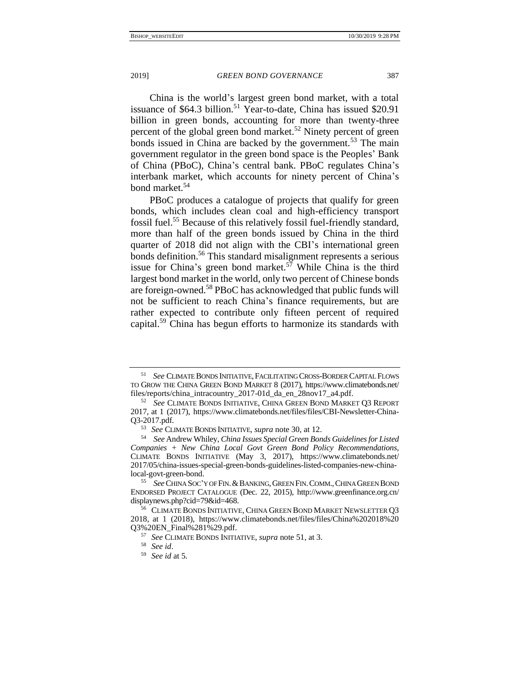<span id="page-10-0"></span>China is the world's largest green bond market, with a total issuance of  $$64.3$  billion.<sup>51</sup> Year-to-date, China has issued \$20.91 billion in green bonds, accounting for more than twenty-three percent of the global green bond market.<sup>52</sup> Ninety percent of green bonds issued in China are backed by the government.<sup>53</sup> The main government regulator in the green bond space is the Peoples' Bank of China (PBoC), China's central bank. PBoC regulates China's interbank market, which accounts for ninety percent of China's bond market.<sup>54</sup>

PB<sub>o</sub>C produces a catalogue of projects that qualify for green bonds, which includes clean coal and high-efficiency transport fossil fuel.<sup>55</sup> Because of this relatively fossil fuel-friendly standard, more than half of the green bonds issued by China in the third quarter of 2018 did not align with the CBI's international green bonds definition.<sup>56</sup> This standard misalignment represents a serious issue for China's green bond market.<sup>57</sup> While China is the third largest bond market in the world, only two percent of Chinese bonds are foreign-owned.<sup>58</sup> PBoC has acknowledged that public funds will not be sufficient to reach China's finance requirements, but are rather expected to contribute only fifteen percent of required capital.<sup>59</sup> China has begun efforts to harmonize its standards with

**See CLIMATE BONDS INITIATIVE, FACILITATING CROSS-BORDER CAPITAL FLOWS** TO GROW THE CHINA GREEN BOND MARKET 8 (2017), https://www.climatebonds.net/ files/reports/china\_intracountry\_2017-01d\_da\_en\_28nov17\_a4.pdf.

<sup>52</sup> *See* CLIMATE BONDS INITIATIVE, CHINA GREEN BOND MARKET Q3 REPORT 2017, at 1 (2017), https://www.climatebonds.net/files/files/CBI-Newsletter-China-Q3-2017.pdf.

<sup>53</sup> *See* CLIMATE BONDS INITIATIVE, *supra* not[e 30,](#page-6-1) at 12.

<sup>54</sup> *See* Andrew Whiley, *China Issues Special Green Bonds Guidelines for Listed Companies + New China Local Govt Green Bond Policy Recommendations,* CLIMATE BONDS INITIATIVE (May 3, 2017), https://www.climatebonds.net/ 2017/05/china-issues-special-green-bonds-guidelines-listed-companies-new-chinalocal-govt-green-bond.

<sup>55</sup> *See*CHINA SOC'Y OF FIN.&BANKING,GREEN FIN.COMM.,CHINA GREEN BOND ENDORSED PROJECT CATALOGUE (Dec. 22, 2015), [http://www.greenfinance.org.cn/](http://www.greenfinance.org.cn/displaynews.php?cid=79&id=468) [displaynews.php?cid=79&id=468.](http://www.greenfinance.org.cn/displaynews.php?cid=79&id=468)

<sup>56</sup> CLIMATE BONDS INITIATIVE, CHINA GREEN BOND MARKET NEWSLETTER Q3 2018, at 1 (2018), https://www.climatebonds.net/files/files/China%202018%20 Q3%20EN\_Final%281%29.pdf.

<sup>57</sup> *See* CLIMATE BONDS INITIATIVE, *supra* note [51,](#page-10-0) at 3.

<sup>58</sup> *See id*.

<sup>59</sup> *See id* at 5*.*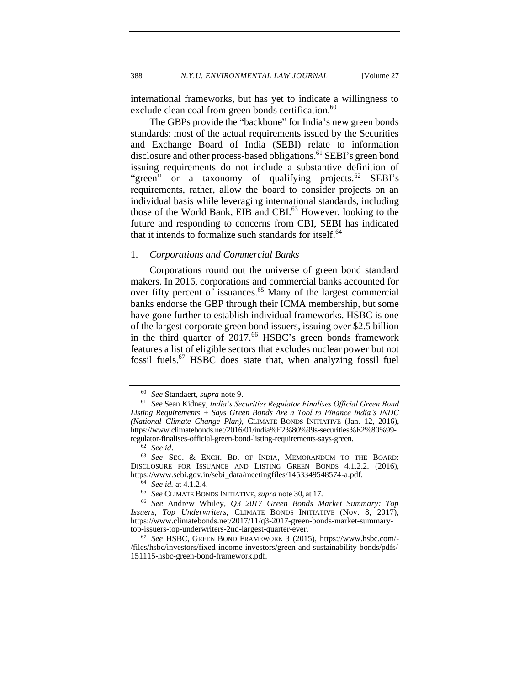388 *N.Y.U. ENVIRONMENTAL LAW JOURNAL* [Volume 27

international frameworks, but has yet to indicate a willingness to exclude clean coal from green bonds certification.<sup>60</sup>

The GBPs provide the "backbone" for India's new green bonds standards: most of the actual requirements issued by the Securities and Exchange Board of India (SEBI) relate to information disclosure and other process-based obligations.<sup>61</sup> SEBI's green bond issuing requirements do not include a substantive definition of "green" or a taxonomy of qualifying projects.<sup>62</sup> SEBI's requirements, rather, allow the board to consider projects on an individual basis while leveraging international standards, including those of the World Bank, EIB and CBI.<sup>63</sup> However, looking to the future and responding to concerns from CBI, SEBI has indicated that it intends to formalize such standards for itself.<sup>64</sup>

## <span id="page-11-0"></span>1. *Corporations and Commercial Banks*

Corporations round out the universe of green bond standard makers. In 2016, corporations and commercial banks accounted for over fifty percent of issuances.<sup>65</sup> Many of the largest commercial banks endorse the GBP through their ICMA membership, but some have gone further to establish individual frameworks. HSBC is one of the largest corporate green bond issuers, issuing over \$2.5 billion in the third quarter of 2017.<sup>66</sup> HSBC's green bonds framework features a list of eligible sectors that excludes nuclear power but not fossil fuels.<sup>67</sup> HSBC does state that, when analyzing fossil fuel

<sup>62</sup> *See id*.

<sup>60</sup> *See* Standaert, *supra* note [9.](#page-2-1)

<sup>61</sup> *See* Sean Kidney, *India's Securities Regulator Finalises Official Green Bond Listing Requirements + Says Green Bonds Are a Tool to Finance India's INDC (National Climate Change Plan)*, CLIMATE BONDS INITIATIVE (Jan. 12, 2016), https://www.climatebonds.net/2016/01/india%E2%80%99s-securities%E2%80%99 regulator-finalises-official-green-bond-listing-requirements-says-green.

<sup>63</sup> *See* SEC. & EXCH. BD. OF INDIA, MEMORANDUM TO THE BOARD: DISCLOSURE FOR ISSUANCE AND LISTING GREEN BONDS 4.1.2.2. (2016), https://www.sebi.gov.in/sebi\_data/meetingfiles/1453349548574-a.pdf.

<sup>64</sup> *See id.* at 4.1.2.4*.*

<sup>65</sup> *See* CLIMATE BONDS INITIATIVE, *supra* note [30,](#page-6-1) at 17.

<sup>66</sup> *See* Andrew Whiley, *Q3 2017 Green Bonds Market Summary: Top Issuers, Top Underwriters,* CLIMATE BONDS INITIATIVE (Nov. 8, 2017), https://www.climatebonds.net/2017/11/q3-2017-green-bonds-market-summarytop-issuers-top-underwriters-2nd-largest-quarter-ever.

<sup>67</sup> *See* HSBC, GREEN BOND FRAMEWORK 3 (2015), https://www.hsbc.com/- /files/hsbc/investors/fixed-income-investors/green-and-sustainability-bonds/pdfs/ 151115-hsbc-green-bond-framework.pdf.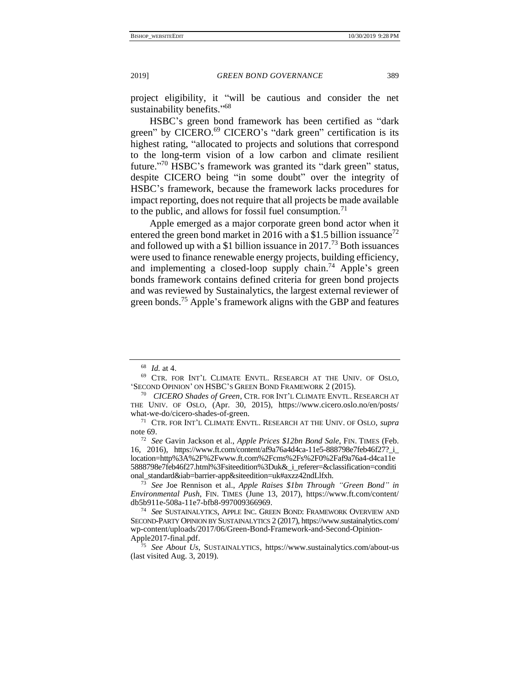<span id="page-12-1"></span>

project eligibility, it "will be cautious and consider the net sustainability benefits."<sup>68</sup>

<span id="page-12-0"></span>HSBC's green bond framework has been certified as "dark green" by CICERO.<sup>69</sup> CICERO's "dark green" certification is its highest rating, "allocated to projects and solutions that correspond to the long-term vision of a low carbon and climate resilient future."<sup>70</sup> HSBC's framework was granted its "dark green" status, despite CICERO being "in some doubt" over the integrity of HSBC's framework, because the framework lacks procedures for impact reporting, does not require that all projects be made available to the public, and allows for fossil fuel consumption.<sup>71</sup>

Apple emerged as a major corporate green bond actor when it entered the green bond market in 2016 with a \$1.5 billion issuance<sup>72</sup> and followed up with a \$1 billion issuance in  $2017<sup>73</sup>$  Both issuances were used to finance renewable energy projects, building efficiency, and implementing a closed-loop supply chain.<sup>74</sup> Apple's green bonds framework contains defined criteria for green bond projects and was reviewed by Sustainalytics, the largest external reviewer of green bonds.<sup>75</sup> Apple's framework aligns with the GBP and features

<sup>68</sup> *Id.* at 4.

<sup>69</sup> CTR. FOR INT'L CLIMATE ENVTL. RESEARCH AT THE UNIV. OF OSLO, 'SECOND OPINION' ON HSBC'S GREEN BOND FRAMEWORK 2 (2015).

<sup>70</sup> *CICERO Shades of Green*, CTR. FOR INT'L CLIMATE ENVTL. RESEARCH AT THE UNIV. OF OSLO, (Apr. 30, 2015), https://www.cicero.oslo.no/en/posts/ what-we-do/cicero-shades-of-green.

<sup>71</sup> CTR. FOR INT'L CLIMATE ENVTL. RESEARCH AT THE UNIV. OF OSLO, *supra* not[e 69.](#page-12-0)

<sup>72</sup> *See* Gavin Jackson et al., *Apple Prices \$12bn Bond Sale*, FIN. TIMES (Feb. 16, 2016), https://www.ft.com/content/af9a76a4d4ca-11e5-888798e7feb46f27?\_i\_ location=http%3A%2F%2Fwww.ft.com%2Fcms%2Fs%2F0%2Faf9a76a4-d4ca11e 5888798e7feb46f27.html%3Fsiteedition%3Duk&\_i\_referer=&classification=conditi onal\_standard&iab=barrier-app&siteedition=uk#axzz42ndLlfxh.

<sup>73</sup> *See* Joe Rennison et al., *Apple Raises \$1bn Through "Green Bond" in Environmental Push*, FIN. TIMES (June 13, 2017), https://www.ft.com/content/ db5b911e-508a-11e7-bfb8-997009366969.

<sup>74</sup> *See* SUSTAINALYTICS, APPLE INC. GREEN BOND: FRAMEWORK OVERVIEW AND SECOND-PARTY OPINION BY SUSTAINALYTICS 2 (2017), https://www.sustainalytics.com/ wp-content/uploads/2017/06/Green-Bond-Framework-and-Second-Opinion-Apple2017-final.pdf.

<sup>75</sup> *See About Us,* SUSTAINALYTICS, https://www.sustainalytics.com/about-us (last visited Aug. 3, 2019).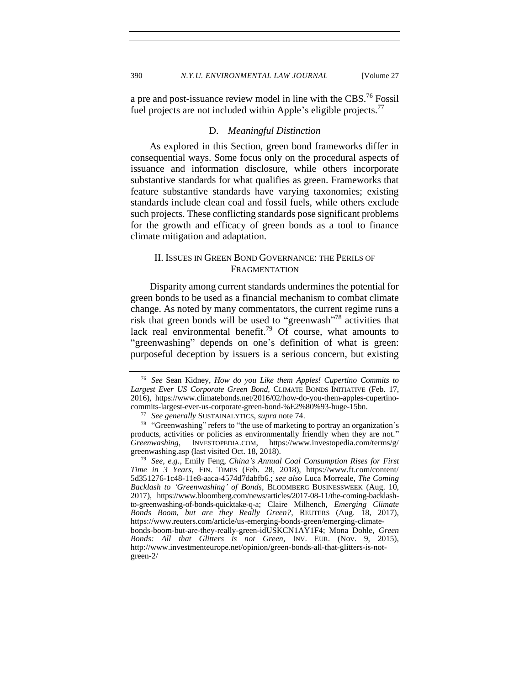<span id="page-13-0"></span>a pre and post-issuance review model in line with the CBS.<sup>76</sup> Fossil fuel projects are not included within Apple's eligible projects.<sup>77</sup>

### D. *Meaningful Distinction*

As explored in this Section, green bond frameworks differ in consequential ways. Some focus only on the procedural aspects of issuance and information disclosure, while others incorporate substantive standards for what qualifies as green. Frameworks that feature substantive standards have varying taxonomies; existing standards include clean coal and fossil fuels, while others exclude such projects. These conflicting standards pose significant problems for the growth and efficacy of green bonds as a tool to finance climate mitigation and adaptation.

# <span id="page-13-2"></span><span id="page-13-1"></span>II. ISSUES IN GREEN BOND GOVERNANCE: THE PERILS OF FRAGMENTATION

Disparity among current standards undermines the potential for green bonds to be used as a financial mechanism to combat climate change. As noted by many commentators, the current regime runs a risk that green bonds will be used to "greenwash"<sup>78</sup> activities that lack real environmental benefit.<sup>79</sup> Of course, what amounts to "greenwashing" depends on one's definition of what is green: purposeful deception by issuers is a serious concern, but existing

<sup>76</sup> *See* Sean Kidney, *How do you Like them Apples! Cupertino Commits to Largest Ever US Corporate Green Bond,* CLIMATE BONDS INITIATIVE (Feb. 17, 2016), https://www.climatebonds.net/2016/02/how-do-you-them-apples-cupertinocommits-largest-ever-us-corporate-green-bond-%E2%80%93-huge-15bn.

<sup>77</sup> *See generally* SUSTAINALYTICS, *supra* note [74.](#page-12-1)

<sup>&</sup>lt;sup>78</sup> "Greenwashing" refers to "the use of marketing to portray an organization's products, activities or policies as environmentally friendly when they are not." *Greenwashing*, INVESTOPEDIA.COM, https://www.investopedia.com/terms/g/ greenwashing.asp (last visited Oct. 18, 2018).

<sup>79</sup> *See, e.g.*, Emily Feng, *China's Annual Coal Consumption Rises for First Time in 3 Years*, FIN. TIMES (Feb. 28, 2018), https://www.ft.com/content/ 5d351276-1c48-11e8-aaca-4574d7dabfb6.; *see also* Luca Morreale, *The Coming Backlash to 'Greenwashing' of Bonds*, BLOOMBERG BUSINESSWEEK (Aug. 10, 2017), https://www.bloomberg.com/news/articles/2017-08-11/the-coming-backlashto-greenwashing-of-bonds-quicktake-q-a; Claire Milhench, *Emerging Climate Bonds Boom, but are they Really Green?*, REUTERS (Aug. 18, 2017), https://www.reuters.com/article/us-emerging-bonds-green/emerging-climatebonds-boom-but-are-they-really-green-idUSKCN1AY1F4; Mona Dohle, *Green Bonds: All that Glitters is not Green*, INV. EUR. (Nov. 9, 2015), http://www.investmenteurope.net/opinion/green-bonds-all-that-glitters-is-notgreen-2/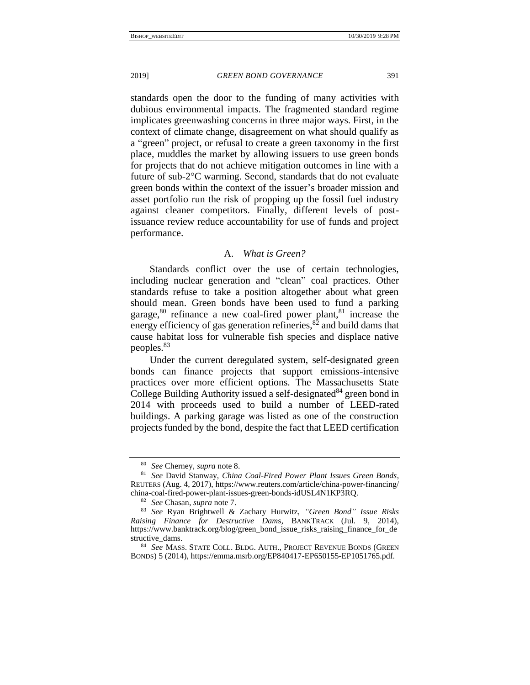standards open the door to the funding of many activities with dubious environmental impacts. The fragmented standard regime implicates greenwashing concerns in three major ways. First, in the context of climate change, disagreement on what should qualify as a "green" project, or refusal to create a green taxonomy in the first place, muddles the market by allowing issuers to use green bonds for projects that do not achieve mitigation outcomes in line with a future of sub- $2^{\circ}$ C warming. Second, standards that do not evaluate green bonds within the context of the issuer's broader mission and asset portfolio run the risk of propping up the fossil fuel industry against cleaner competitors. Finally, different levels of postissuance review reduce accountability for use of funds and project performance.

### A. *What is Green?*

<span id="page-14-0"></span>Standards conflict over the use of certain technologies, including nuclear generation and "clean" coal practices. Other standards refuse to take a position altogether about what green should mean. Green bonds have been used to fund a parking garage, $80$  refinance a new coal-fired power plant, $81$  increase the energy efficiency of gas generation refineries, ${}^{82}$  and build dams that cause habitat loss for vulnerable fish species and displace native peoples.<sup>83</sup>

<span id="page-14-1"></span>Under the current deregulated system, self-designated green bonds can finance projects that support emissions-intensive practices over more efficient options. The Massachusetts State College Building Authority issued a self-designated<sup>84</sup> green bond in 2014 with proceeds used to build a number of LEED-rated buildings. A parking garage was listed as one of the construction projects funded by the bond, despite the fact that LEED certification

<sup>80</sup> *See* Cherney, *supra* note [8.](#page-2-2)

<sup>81</sup> *See* David Stanway, *China Coal-Fired Power Plant Issues Green Bonds*, REUTERS (Aug. 4, 2017), [https://www.reuters.com/article/china-power-financing/](https://www.reuters.com/article/china-power-financing/china-coal-fired-power-plant-issues-green-bonds-idUSL4N1KP3RQ) [china-coal-fired-power-plant-issues-green-bonds-idUSL4N1KP3RQ.](https://www.reuters.com/article/china-power-financing/china-coal-fired-power-plant-issues-green-bonds-idUSL4N1KP3RQ)

<sup>82</sup> *See* Chasan, *supra* note [7.](#page-2-3)

<sup>83</sup> *See* Ryan Brightwell & Zachary Hurwitz, *"Green Bond" Issue Risks Raising Finance for Destructive Dam*s, BANKTRACK (Jul. 9, 2014), https://www.banktrack.org/blog/green\_bond\_issue\_risks\_raising\_finance\_for\_de structive\_dams.

<sup>84</sup> *See* MASS. STATE COLL. BLDG. AUTH., PROJECT REVENUE BONDS (GREEN BONDS) 5 (2014), https://emma.msrb.org/EP840417-EP650155-EP1051765.pdf.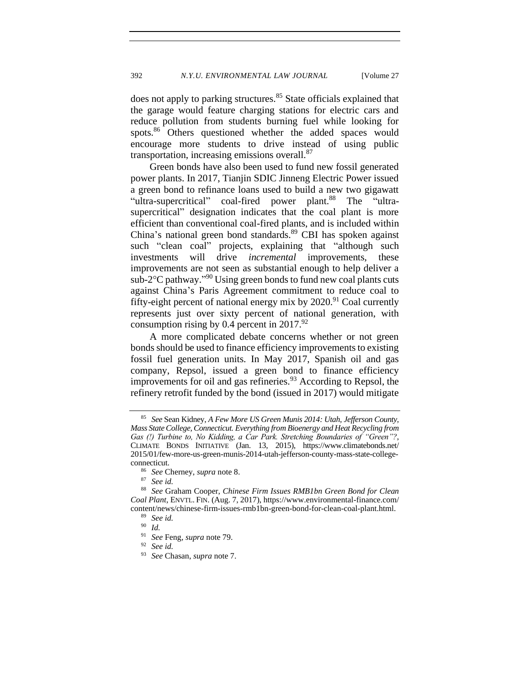does not apply to parking structures.<sup>85</sup> State officials explained that the garage would feature charging stations for electric cars and reduce pollution from students burning fuel while looking for spots.<sup>86</sup> Others questioned whether the added spaces would encourage more students to drive instead of using public transportation, increasing emissions overall. $87$ 

Green bonds have also been used to fund new fossil generated power plants. In 2017, Tianjin SDIC Jinneng Electric Power issued a green bond to refinance loans used to build a new two gigawatt "ultra-supercritical" coal-fired power plant.<sup>88</sup> The "ultrasupercritical" designation indicates that the coal plant is more efficient than conventional coal-fired plants, and is included within China's national green bond standards.<sup>89</sup> CBI has spoken against such "clean coal" projects, explaining that "although such investments will drive *incremental* improvements, these improvements are not seen as substantial enough to help deliver a sub-2°C pathway."<sup>90</sup> Using green bonds to fund new coal plants cuts against China's Paris Agreement commitment to reduce coal to fifty-eight percent of national energy mix by  $2020$ .<sup>91</sup> Coal currently represents just over sixty percent of national generation, with consumption rising by 0.4 percent in  $2017.^{92}$ 

A more complicated debate concerns whether or not green bonds should be used to finance efficiency improvements to existing fossil fuel generation units. In May 2017, Spanish oil and gas company, Repsol, issued a green bond to finance efficiency improvements for oil and gas refineries.<sup>93</sup> According to Repsol, the refinery retrofit funded by the bond (issued in 2017) would mitigate

<sup>85</sup> *See* Sean Kidney, *A Few More US Green Munis 2014: Utah, Jefferson County, Mass State College, Connecticut. Everything from Bioenergy and Heat Recycling from Gas (!) Turbine to, No Kidding, a Car Park. Stretching Boundaries of "Green"?*, CLIMATE BONDS INITIATIVE (Jan. 13, 2015), https://www.climatebonds.net/ 2015/01/few-more-us-green-munis-2014-utah-jefferson-county-mass-state-collegeconnecticut.

<sup>86</sup> *See* Cherney, *supra* note [8.](#page-2-2)

See id.

<sup>88</sup> *See* Graham Cooper, *Chinese Firm Issues RMB1bn Green Bond for Clean Coal Plant*, ENVTL. FIN. (Aug. 7, 2017), https://www.environmental-finance.com/ content/news/chinese-firm-issues-rmb1bn-green-bond-for-clean-coal-plant.html.

<sup>89</sup> *See id.*

<sup>90</sup> *Id.*

<sup>91</sup> *See* Feng, *supra* note [79.](#page-13-2)

<sup>92</sup> *See id.*

<sup>93</sup> *See* Chasan, *supra* note [7.](#page-2-3)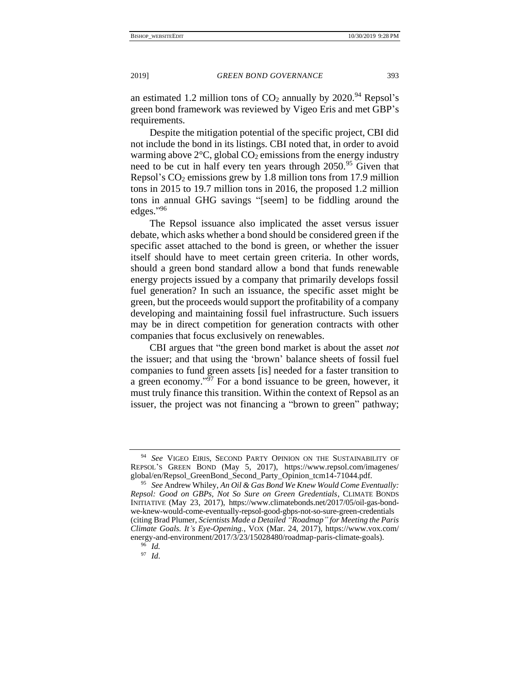<span id="page-16-0"></span>

an estimated 1.2 million tons of  $CO<sub>2</sub>$  annually by 2020.<sup>94</sup> Repsol's green bond framework was reviewed by Vigeo Eris and met GBP's requirements.

Despite the mitigation potential of the specific project, CBI did not include the bond in its listings. CBI noted that, in order to avoid warming above  $2^{\circ}$ C, global CO<sub>2</sub> emissions from the energy industry need to be cut in half every ten years through  $2050^{95}$  Given that Repsol's  $CO<sub>2</sub>$  emissions grew by 1.8 million tons from 17.9 million tons in 2015 to 19.7 million tons in 2016, the proposed 1.2 million tons in annual GHG savings "[seem] to be fiddling around the edges." 96

The Repsol issuance also implicated the asset versus issuer debate, which asks whether a bond should be considered green if the specific asset attached to the bond is green, or whether the issuer itself should have to meet certain green criteria. In other words, should a green bond standard allow a bond that funds renewable energy projects issued by a company that primarily develops fossil fuel generation? In such an issuance, the specific asset might be green, but the proceeds would support the profitability of a company developing and maintaining fossil fuel infrastructure. Such issuers may be in direct competition for generation contracts with other companies that focus exclusively on renewables.

CBI argues that "the green bond market is about the asset *not* the issuer; and that using the 'brown' balance sheets of fossil fuel companies to fund green assets [is] needed for a faster transition to a green economy." $\frac{3}{7}$  For a bond issuance to be green, however, it must truly finance this transition. Within the context of Repsol as an issuer, the project was not financing a "brown to green" pathway;

<sup>94</sup> *See* VIGEO EIRIS, SECOND PARTY OPINION ON THE SUSTAINABILITY OF REPSOL'S GREEN BOND (May 5, 2017), https://www.repsol.com/imagenes/ global/en/Repsol\_GreenBond\_Second\_Party\_Opinion\_tcm14-71044.pdf.

<sup>95</sup> *See* Andrew Whiley, *An Oil & Gas Bond We Knew Would Come Eventually: Repsol: Good on GBPs, Not So Sure on Green Gredentials*, CLIMATE BONDS INITIATIVE (May 23, 2017), [https://www.c](https://www/)limatebonds.net/2017/05/oil-gas-bondwe-knew-would-come-eventually-repsol-good-gbps-not-so-sure-green-credentials (citing Brad Plumer, *Scientists Made a Detailed "Roadmap" for Meeting the Paris Climate Goals. It's Eye-Opening.*, VOX (Mar. 24, 2017), [https://www.](https://www/)vox.com/ energy-and-environment/2017/3/23/15028480/roadmap-paris-climate-goals).

<sup>96</sup> *Id.*

<sup>97</sup> *Id*.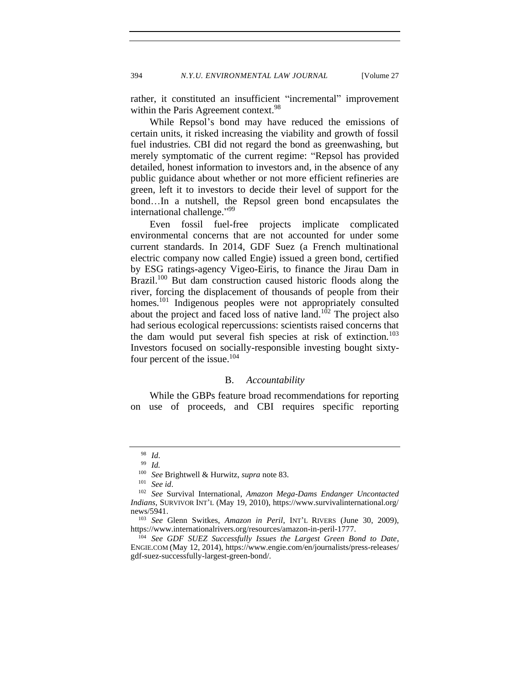rather, it constituted an insufficient "incremental" improvement within the Paris Agreement context.<sup>98</sup>

While Repsol's bond may have reduced the emissions of certain units, it risked increasing the viability and growth of fossil fuel industries. CBI did not regard the bond as greenwashing, but merely symptomatic of the current regime: "Repsol has provided detailed, honest information to investors and, in the absence of any public guidance about whether or not more efficient refineries are green, left it to investors to decide their level of support for the bond…In a nutshell, the Repsol green bond encapsulates the international challenge."<sup>99</sup>

Even fossil fuel-free projects implicate complicated environmental concerns that are not accounted for under some current standards. In 2014, GDF Suez (a French multinational electric company now called Engie) issued a green bond, certified by ESG ratings-agency Vigeo-Eiris, to finance the Jirau Dam in Brazil.<sup>100</sup> But dam construction caused historic floods along the river, forcing the displacement of thousands of people from their homes.<sup>101</sup> Indigenous peoples were not appropriately consulted about the project and faced loss of native land. $102$  The project also had serious ecological repercussions: scientists raised concerns that the dam would put several fish species at risk of extinction.<sup>103</sup> Investors focused on socially-responsible investing bought sixtyfour percent of the issue.<sup>104</sup>

## B. *Accountability*

<span id="page-17-0"></span>While the GBPs feature broad recommendations for reporting on use of proceeds, and CBI requires specific reporting

 $\frac{98}{99}$  *Id.* 

 $\frac{99}{100}$  *Id.* 

<sup>100</sup> *See* Brightwell & Hurwitz, *supra* note [83.](#page-14-1)

See id.

<sup>102</sup> *See* Survival International, *Amazon Mega-Dams Endanger Uncontacted Indians*, SURVIVOR INT'L (May 19, 2010), https://www.survivalinternational.org/ news/5941.

<sup>103</sup> *See* Glenn Switkes, *Amazon in Peril*, INT'L RIVERS (June 30, 2009), [https://www.internationalrivers.org/resources/amazon-in-peril-1777.](https://www.internationalrivers.org/resources/amazon-in-peril-1777)

<sup>104</sup> *See GDF SUEZ Successfully Issues the Largest Green Bond to Date*, ENGIE.COM (May 12, 2014)[, https://www.engie.com/en/journalists/press-releases/](https://www.engie.com/en/journalists/press-releases/gdf-suez-successfully-largest-green-bond/) [gdf-suez-successfully-largest-green-bond/.](https://www.engie.com/en/journalists/press-releases/gdf-suez-successfully-largest-green-bond/)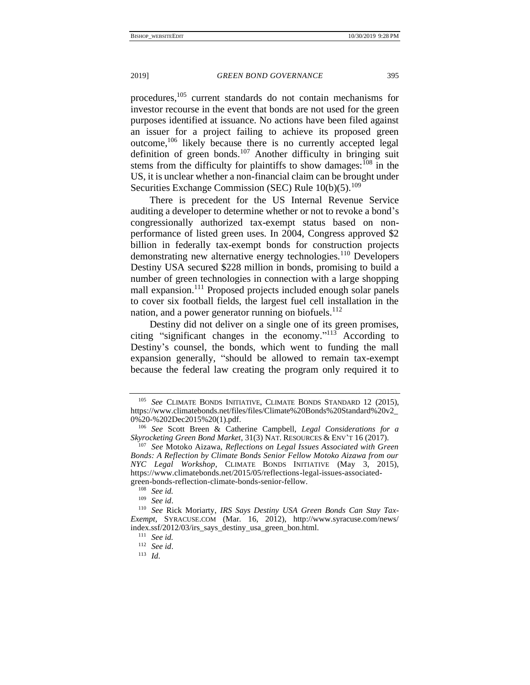<span id="page-18-1"></span>procedures,<sup>105</sup> current standards do not contain mechanisms for investor recourse in the event that bonds are not used for the green purposes identified at issuance. No actions have been filed against an issuer for a project failing to achieve its proposed green outcome,<sup>106</sup> likely because there is no currently accepted legal definition of green bonds.<sup>107</sup> Another difficulty in bringing suit stems from the difficulty for plaintiffs to show damages:  $108$  in the US, it is unclear whether a non-financial claim can be brought under Securities Exchange Commission (SEC) Rule  $10(b)(5)$ .<sup>109</sup>

<span id="page-18-0"></span>There is precedent for the US Internal Revenue Service auditing a developer to determine whether or not to revoke a bond's congressionally authorized tax-exempt status based on nonperformance of listed green uses. In 2004, Congress approved \$2 billion in federally tax-exempt bonds for construction projects demonstrating new alternative energy technologies.<sup>110</sup> Developers Destiny USA secured \$228 million in bonds, promising to build a number of green technologies in connection with a large shopping mall expansion.<sup>111</sup> Proposed projects included enough solar panels to cover six football fields, the largest fuel cell installation in the nation, and a power generator running on biofuels. $^{112}$ 

Destiny did not deliver on a single one of its green promises, citing "significant changes in the economy."<sup>113</sup> According to Destiny's counsel, the bonds, which went to funding the mall expansion generally, "should be allowed to remain tax-exempt because the federal law creating the program only required it to

<sup>105</sup> *See* CLIMATE BONDS INITIATIVE, CLIMATE BONDS STANDARD 12 (2015), [https://www.climatebonds.net/files/files/Climate%20Bonds%20Standard%20v2\\_](https://www.climatebonds.net/files/files/Climate%20Bonds%20Standard%20v2_0%20-%202Dec2015%20(1).pdf) [0%20-%202Dec2015%20\(1\).pdf.](https://www.climatebonds.net/files/files/Climate%20Bonds%20Standard%20v2_0%20-%202Dec2015%20(1).pdf)

<sup>106</sup> *See* Scott Breen & Catherine Campbell, *Legal Considerations for a Skyrocketing Green Bond Market*, 31(3) NAT. RESOURCES & ENV'T 16 (2017).

<sup>107</sup> *See* Motoko Aizawa, *Reflections on Legal Issues Associated with Green Bonds: A Reflection by Climate Bonds Senior Fellow Motoko Aizawa from our NYC Legal Workshop*, CLIMATE BONDS INITIATIVE (May 3, 2015), https://www.climatebonds.net/2015/05/reflections-legal-issues-associatedgreen-bonds-reflection-climate-bonds-senior-fellow.

<sup>108</sup> *See id.*

<sup>109</sup> *See id*.

<sup>110</sup> *See* Rick Moriarty, *IRS Says Destiny USA Green Bonds Can Stay Tax-Exempt*, SYRACUSE.COM (Mar. 16, 2012), http://www.syracuse.com/news/ index.ssf/2012/03/irs\_says\_destiny\_usa\_green\_bon.html.

<sup>111</sup> *See id.*

<sup>112</sup> *See id*.

<sup>113</sup> *Id*.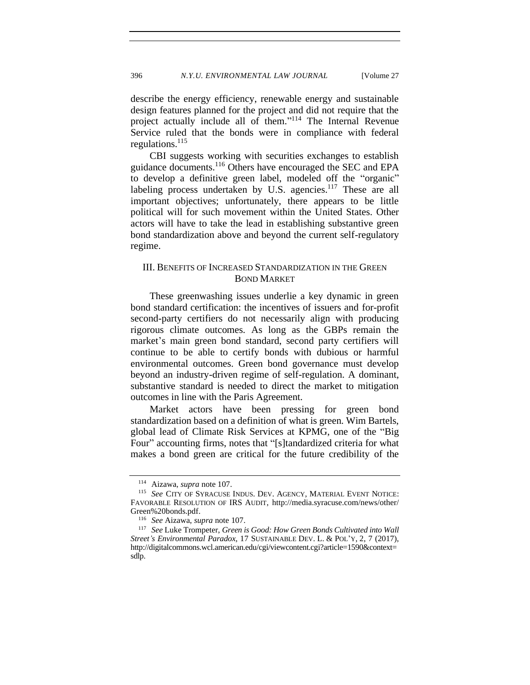describe the energy efficiency, renewable energy and sustainable design features planned for the project and did not require that the project actually include all of them." <sup>114</sup> The Internal Revenue Service ruled that the bonds were in compliance with federal regulations.<sup>115</sup>

<span id="page-19-1"></span>CBI suggests working with securities exchanges to establish guidance documents.<sup>116</sup> Others have encouraged the SEC and EPA to develop a definitive green label, modeled off the "organic" labeling process undertaken by U.S. agencies.<sup>117</sup> These are all important objectives; unfortunately, there appears to be little political will for such movement within the United States. Other actors will have to take the lead in establishing substantive green bond standardization above and beyond the current self-regulatory regime.

# <span id="page-19-0"></span>III. BENEFITS OF INCREASED STANDARDIZATION IN THE GREEN BOND MARKET

These greenwashing issues underlie a key dynamic in green bond standard certification: the incentives of issuers and for-profit second-party certifiers do not necessarily align with producing rigorous climate outcomes. As long as the GBPs remain the market's main green bond standard, second party certifiers will continue to be able to certify bonds with dubious or harmful environmental outcomes. Green bond governance must develop beyond an industry-driven regime of self-regulation. A dominant, substantive standard is needed to direct the market to mitigation outcomes in line with the Paris Agreement.

Market actors have been pressing for green bond standardization based on a definition of what is green. Wim Bartels, global lead of Climate Risk Services at KPMG, one of the "Big Four" accounting firms, notes that "[s]tandardized criteria for what makes a bond green are critical for the future credibility of the

<sup>114</sup> Aizawa, *supra* not[e 107.](#page-18-0)

<sup>115</sup> *See* CITY OF SYRACUSE INDUS. DEV. AGENCY, MATERIAL EVENT NOTICE: FAVORABLE RESOLUTION OF IRS AUDIT, [http://media.syracuse.com/news/other/](http://media.syracuse.com/news/other/Green%20bonds.pdf) [Green%20bonds.pdf.](http://media.syracuse.com/news/other/Green%20bonds.pdf)

<sup>116</sup> *See* Aizawa, *supra* note [107.](#page-18-0)

<sup>117</sup> *See* Luke Trompeter, *Green is Good: How Green Bonds Cultivated into Wall Street's Environmental Paradox*, 17 SUSTAINABLE DEV. L. & POL'Y, 2, 7 (2017), http://digitalcommons.wcl.american.edu/cgi/viewcontent.cgi?article=1590&context= sdlp.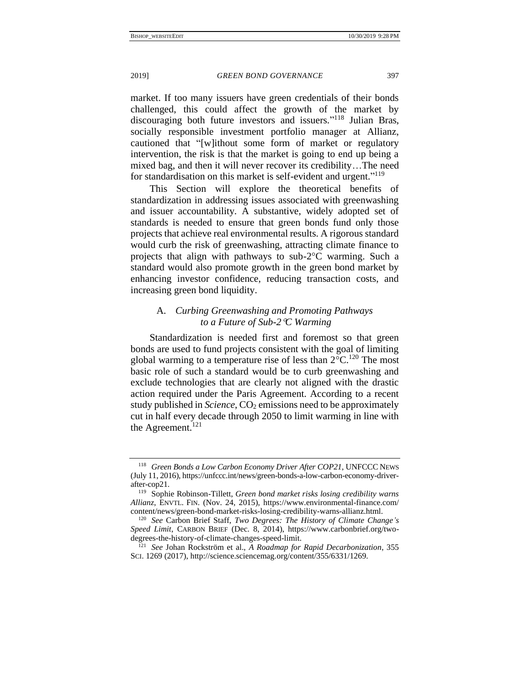market. If too many issuers have green credentials of their bonds challenged, this could affect the growth of the market by discouraging both future investors and issuers." <sup>118</sup> Julian Bras, socially responsible investment portfolio manager at Allianz, cautioned that "[w]ithout some form of market or regulatory intervention, the risk is that the market is going to end up being a mixed bag, and then it will never recover its credibility…The need for standardisation on this market is self-evident and urgent."<sup>119</sup>

This Section will explore the theoretical benefits of standardization in addressing issues associated with greenwashing and issuer accountability. A substantive, widely adopted set of standards is needed to ensure that green bonds fund only those projects that achieve real environmental results. A rigorous standard would curb the risk of greenwashing, attracting climate finance to projects that align with pathways to sub- $2^{\circ}$ C warming. Such a standard would also promote growth in the green bond market by enhancing investor confidence, reducing transaction costs, and increasing green bond liquidity.

# <span id="page-20-0"></span>A. *Curbing Greenwashing and Promoting Pathways to a Future of Sub-2C Warming*

Standardization is needed first and foremost so that green bonds are used to fund projects consistent with the goal of limiting global warming to a temperature rise of less than  $2^{\circ}C^{120}$  The most basic role of such a standard would be to curb greenwashing and exclude technologies that are clearly not aligned with the drastic action required under the Paris Agreement. According to a recent study published in *Science*, CO<sub>2</sub> emissions need to be approximately cut in half every decade through 2050 to limit warming in line with the Agreement. $^{121}$ 

<sup>118</sup> *Green Bonds a Low Carbon Economy Driver After COP21*, UNFCCC NEWS (July 11, 2016), https://unfccc.int/news/green-bonds-a-low-carbon-economy-driverafter-cop21.

<sup>119</sup> Sophie Robinson-Tillett, *Green bond market risks losing credibility warns Allianz*, ENVTL. FIN. (Nov. 24, 2015), [https://www.environmental-finance.com/](https://www.environmental-finance.com/content/news/green-bond-market-risks-losing-credibility-warns-allianz.html) [content/news/green-bond-market-risks-losing-credibility-warns-allianz.html.](https://www.environmental-finance.com/content/news/green-bond-market-risks-losing-credibility-warns-allianz.html)

<sup>120</sup> *See* Carbon Brief Staff, *Two Degrees: The History of Climate Change's Speed Limit*, CARBON BRIEF (Dec. 8, 2014), https://www.carbonbrief.org/twodegrees-the-history-of-climate-changes-speed-limit.

<sup>121</sup> *See* Johan Rockström et al., *A Roadmap for Rapid Decarbonization*, 355 SCI. 1269 (2017), http://science.sciencemag.org/content/355/6331/1269.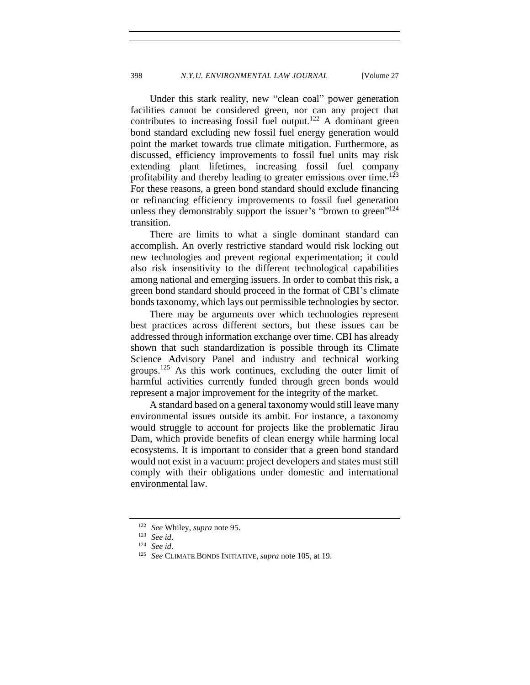Under this stark reality, new "clean coal" power generation facilities cannot be considered green, nor can any project that contributes to increasing fossil fuel output.<sup>122</sup> A dominant green bond standard excluding new fossil fuel energy generation would point the market towards true climate mitigation. Furthermore, as discussed, efficiency improvements to fossil fuel units may risk extending plant lifetimes, increasing fossil fuel company profitability and thereby leading to greater emissions over time.<sup>123</sup> For these reasons, a green bond standard should exclude financing or refinancing efficiency improvements to fossil fuel generation unless they demonstrably support the issuer's "brown to green"<sup>124</sup> transition.

There are limits to what a single dominant standard can accomplish. An overly restrictive standard would risk locking out new technologies and prevent regional experimentation; it could also risk insensitivity to the different technological capabilities among national and emerging issuers. In order to combat this risk, a green bond standard should proceed in the format of CBI's climate bonds taxonomy, which lays out permissible technologies by sector.

There may be arguments over which technologies represent best practices across different sectors, but these issues can be addressed through information exchange over time. CBI has already shown that such standardization is possible through its Climate Science Advisory Panel and industry and technical working groups.<sup>125</sup> As this work continues, excluding the outer limit of harmful activities currently funded through green bonds would represent a major improvement for the integrity of the market.

A standard based on a general taxonomy would still leave many environmental issues outside its ambit. For instance, a taxonomy would struggle to account for projects like the problematic Jirau Dam, which provide benefits of clean energy while harming local ecosystems. It is important to consider that a green bond standard would not exist in a vacuum: project developers and states must still comply with their obligations under domestic and international environmental law.

<sup>122</sup> *See* Whiley, *supra* note [95.](#page-16-0)

<sup>123</sup> *See id*.

<sup>124</sup> *See id*.

<sup>125</sup> *See* CLIMATE BONDS INITIATIVE, *supra* not[e 105,](#page-18-1) at 19.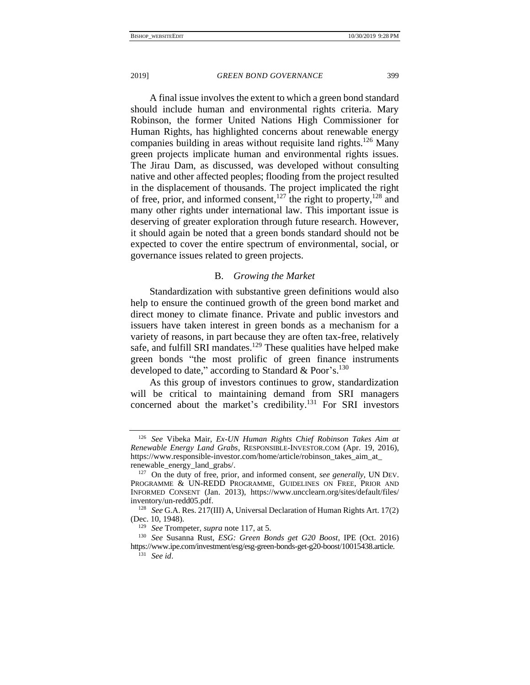A final issue involves the extent to which a green bond standard should include human and environmental rights criteria. Mary Robinson, the former United Nations High Commissioner for Human Rights, has highlighted concerns about renewable energy companies building in areas without requisite land rights.<sup>126</sup> Many green projects implicate human and environmental rights issues. The Jirau Dam, as discussed, was developed without consulting native and other affected peoples; flooding from the project resulted in the displacement of thousands. The project implicated the right of free, prior, and informed consent,<sup>127</sup> the right to property,<sup>128</sup> and many other rights under international law. This important issue is deserving of greater exploration through future research. However, it should again be noted that a green bonds standard should not be expected to cover the entire spectrum of environmental, social, or governance issues related to green projects.

# B. *Growing the Market*

<span id="page-22-0"></span>Standardization with substantive green definitions would also help to ensure the continued growth of the green bond market and direct money to climate finance. Private and public investors and issuers have taken interest in green bonds as a mechanism for a variety of reasons, in part because they are often tax-free, relatively safe, and fulfill SRI mandates.<sup>129</sup> These qualities have helped make green bonds "the most prolific of green finance instruments developed to date," according to Standard & Poor's.<sup>130</sup>

As this group of investors continues to grow, standardization will be critical to maintaining demand from SRI managers concerned about the market's credibility.<sup>131</sup> For SRI investors

<sup>126</sup> *See* Vibeka Mair, *Ex-UN Human Rights Chief Robinson Takes Aim at Renewable Energy Land Grabs*, RESPONSIBLE-INVESTOR.COM (Apr. 19, 2016), [https://www.responsible-investor.com/home/article/robinson\\_takes\\_aim\\_at\\_](https://www.responsible-investor.com/home/article/robinson_takes_aim_at_renewable_energy_land_grabs/) [renewable\\_energy\\_land\\_grabs/.](https://www.responsible-investor.com/home/article/robinson_takes_aim_at_renewable_energy_land_grabs/)

<sup>127</sup> On the duty of free, prior, and informed consent, *see generally*, UN DEV. PROGRAMME & UN-REDD PROGRAMME, GUIDELINES ON FREE, PRIOR AND INFORMED CONSENT (Jan. 2013), [https://www.uncclearn.org/sites/default/files/](https://www.uncclearn.org/sites/default/files/inventory/un-redd05.pdf) [inventory/un-redd05.pdf.](https://www.uncclearn.org/sites/default/files/inventory/un-redd05.pdf)

<sup>128</sup> *See* G.A. Res. 217(III) A, Universal Declaration of Human Rights Art. 17(2) (Dec. 10, 1948).

<sup>129</sup> *See* Trompeter, *supra* note [117,](#page-19-1) at 5.

<sup>130</sup> *See* Susanna Rust, *ESG: Green Bonds get G20 Boost*, IPE (Oct. 2016) [https://www.ipe.com/investment/esg/esg-green-bonds-get-g20-boost/10015438.article.](https://www.ipe.com/investment/esg/esg-green-bonds-get-g20-boost/10015438.article)

<sup>131</sup> *See id*.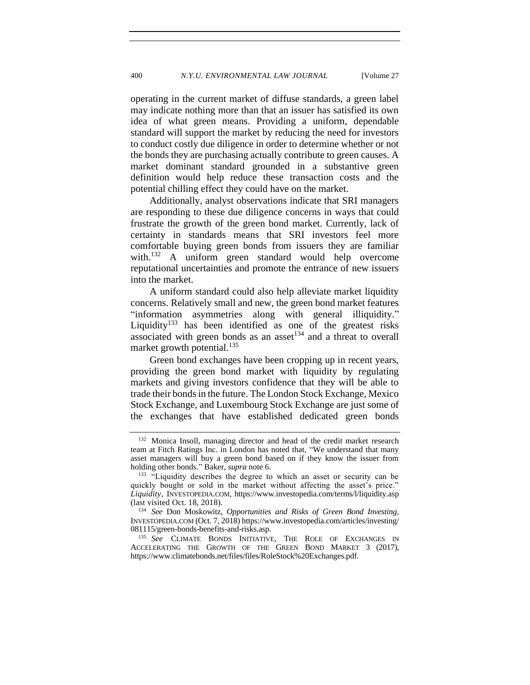operating in the current market of diffuse standards, a green label may indicate nothing more than that an issuer has satisfied its own idea of what green means. Providing a uniform, dependable standard will support the market by reducing the need for investors to conduct costly due diligence in order to determine whether or not the bonds they are purchasing actually contribute to green causes. A market dominant standard grounded in a substantive green definition would help reduce these transaction costs and the potential chilling effect they could have on the market.

Additionally, analyst observations indicate that SRI managers are responding to these due diligence concerns in ways that could frustrate the growth of the green bond market. Currently, lack of certainty in standards means that SRI investors feel more comfortable buying green bonds from issuers they are familiar with.<sup>132</sup> A uniform green standard would help overcome reputational uncertainties and promote the entrance of new issuers into the market.

A uniform standard could also help alleviate market liquidity concerns. Relatively small and new, the green bond market features "information asymmetries along with general illiquidity." Liquidity<sup>133</sup> has been identified as one of the greatest risks associated with green bonds as an asset<sup>134</sup> and a threat to overall market growth potential.<sup>135</sup>

Green bond exchanges have been cropping up in recent years, providing the green bond market with liquidity by regulating markets and giving investors confidence that they will be able to trade their bonds in the future. The London Stock Exchange, Mexico Stock Exchange, and Luxembourg Stock Exchange are just some of the exchanges that have established dedicated green bonds

<sup>132</sup> Monica Insoll, managing director and head of the credit market research team at Fitch Ratings Inc. in London has noted that, "We understand that many asset managers will buy a green bond based on if they know the issuer from holding other bonds." Baker, *supra* note [6.](#page-2-0)

<sup>&</sup>lt;sup>133</sup> "Liquidity describes the degree to which an asset or security can be quickly bought or sold in the market without affecting the asset's price." *Liquidity*, INVESTOPEDIA.COM, <https://www.investopedia.com/terms/l/liquidity.asp> (last visited Oct. 18, 2018).

<sup>134</sup> *See* Don Moskowitz, *Opportunities and Risks of Green Bond Investing*, INVESTOPEDIA.COM (Oct. 7, 2018[\) https://www.investopedia.com/articles/investing/](https://www.investopedia.com/articles/investing/081115/green-bonds-benefits-and-risks.asp) [081115/green-bonds-benefits-and-risks.asp.](https://www.investopedia.com/articles/investing/081115/green-bonds-benefits-and-risks.asp)

<sup>&</sup>lt;sup>135</sup> *See* CLIMATE BONDS INITIATIVE, THE ROLE OF EXCHANGES IN ACCELERATING THE GROWTH OF THE GREEN BOND MARKET 3 (2017), [https://www.climatebonds.net/files/files/RoleStock%20Exchanges.pdf.](https://www.climatebonds.net/files/files/RoleStock%20Exchanges.pdf)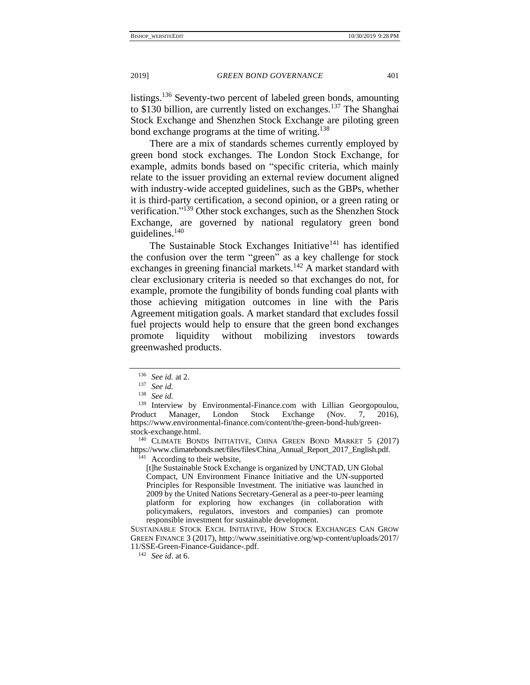listings.<sup>136</sup> Seventy-two percent of labeled green bonds, amounting to \$130 billion, are currently listed on exchanges.<sup>137</sup> The Shanghai Stock Exchange and Shenzhen Stock Exchange are piloting green bond exchange programs at the time of writing.<sup>138</sup>

There are a mix of standards schemes currently employed by green bond stock exchanges. The London Stock Exchange, for example, admits bonds based on "specific criteria, which mainly relate to the issuer providing an external review document aligned with industry-wide accepted guidelines, such as the GBPs, whether it is third-party certification, a second opinion, or a green rating or verification."<sup>139</sup> Other stock exchanges, such as the Shenzhen Stock Exchange, are governed by national regulatory green bond guidelines.<sup>140</sup>

The Sustainable Stock Exchanges Initiative<sup>141</sup> has identified the confusion over the term "green" as a key challenge for stock exchanges in greening financial markets.<sup>142</sup> A market standard with clear exclusionary criteria is needed so that exchanges do not, for example, promote the fungibility of bonds funding coal plants with those achieving mitigation outcomes in line with the Paris Agreement mitigation goals. A market standard that excludes fossil fuel projects would help to ensure that the green bond exchanges promote liquidity without mobilizing investors towards greenwashed products.

<sup>140</sup> CLIMATE BONDS INITIATIVE, CHINA GREEN BOND MARKET 5 (2017) [https://www.climatebonds.net/files/files/China\\_Annual\\_Report\\_2017\\_English.pdf.](https://www.climatebonds.net/files/files/China_Annual_Report_2017_English.pdf)

 $41$  According to their website,

[t]he Sustainable Stock Exchange is organized by UNCTAD, UN Global Compact, UN Environment Finance Initiative and the UN-supported Principles for Responsible Investment. The initiative was launched in 2009 by the United Nations Secretary-General as a peer-to-peer learning platform for exploring how exchanges (in collaboration with policymakers, regulators, investors and companies) can promote responsible investment for sustainable development.

SUSTAINABLE STOCK EXCH. INITIATIVE, HOW STOCK EXCHANGES CAN GROW GREEN FINANCE 3 (2017), http://www.sseinitiative.org/wp-content/uploads/2017/ 11/SSE-Green-Finance-Guidance-.pdf.

<sup>142</sup> *See id*. at 6.

<sup>136</sup> *See id.* at 2.

<sup>137</sup> *See id.*

<sup>138</sup> *See id.*

<sup>&</sup>lt;sup>139</sup> Interview by Environmental-Finance.com with Lillian Georgopoulou, Product Manager, London Stock Exchange (Nov. 7, 2016), [https://www.environmental-finance.com/content/the-green-bond-hub/green](https://www.environmental-finance.com/content/the-green-bond-hub/green-stock-exchange.html)[stock-exchange.html.](https://www.environmental-finance.com/content/the-green-bond-hub/green-stock-exchange.html)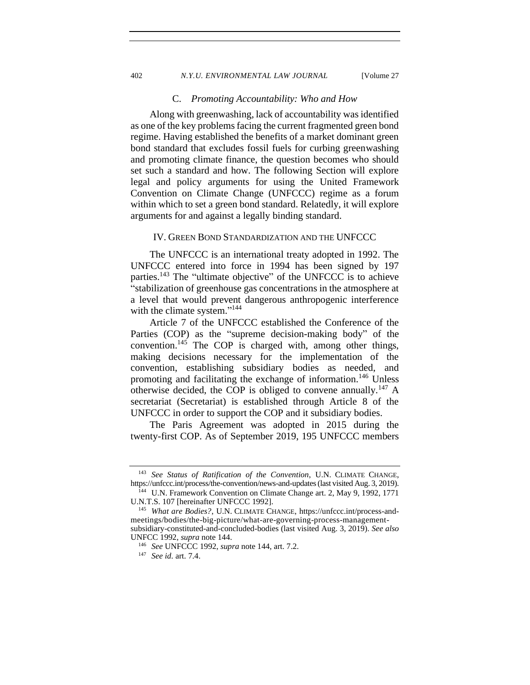### 402 *N.Y.U. ENVIRONMENTAL LAW JOURNAL* [Volume 27

# C. *Promoting Accountability: Who and How*

<span id="page-25-0"></span>Along with greenwashing, lack of accountability was identified as one of the key problems facing the current fragmented green bond regime. Having established the benefits of a market dominant green bond standard that excludes fossil fuels for curbing greenwashing and promoting climate finance, the question becomes who should set such a standard and how. The following Section will explore legal and policy arguments for using the United Framework Convention on Climate Change (UNFCCC) regime as a forum within which to set a green bond standard. Relatedly, it will explore arguments for and against a legally binding standard.

### <span id="page-25-1"></span>IV. GREEN BOND STANDARDIZATION AND THE UNFCCC

The UNFCCC is an international treaty adopted in 1992. The UNFCCC entered into force in 1994 has been signed by 197 parties.<sup>143</sup> The "ultimate objective" of the UNFCCC is to achieve "stabilization of greenhouse gas concentrations in the atmosphere at a level that would prevent dangerous anthropogenic interference with the climate system."<sup>144</sup>

<span id="page-25-2"></span>Article 7 of the UNFCCC established the Conference of the Parties (COP) as the "supreme decision-making body" of the convention.<sup>145</sup> The COP is charged with, among other things, making decisions necessary for the implementation of the convention, establishing subsidiary bodies as needed, and promoting and facilitating the exchange of information.<sup>146</sup> Unless otherwise decided, the COP is obliged to convene annually.<sup>147</sup> A secretariat (Secretariat) is established through Article 8 of the UNFCCC in order to support the COP and it subsidiary bodies.

The Paris Agreement was adopted in 2015 during the twenty-first COP. As of September 2019, 195 UNFCCC members

<sup>143</sup> *See Status of Ratification of the Convention*, U.N. CLIMATE CHANGE, https://unfccc.int/process/the-convention/news-and-updates (last visited Aug. 3, 2019).

<sup>&</sup>lt;sup>44</sup> U.N. Framework Convention on Climate Change art. 2, May 9, 1992, 1771 U.N.T.S. 107 [hereinafter UNFCCC 1992].

<sup>145</sup> *What are Bodies?*, U.N. CLIMATE CHANGE, https://unfccc.int/process-andmeetings/bodies/the-big-picture/what-are-governing-process-managementsubsidiary-constituted-and-concluded-bodies (last visited Aug. 3, 2019). *See also*

UNFCC 1992, *supra* note 144. <sup>146</sup> *See* UNFCCC 1992, *supra* note 144, art. 7.2.

<sup>147</sup> *See id.* art. 7.4.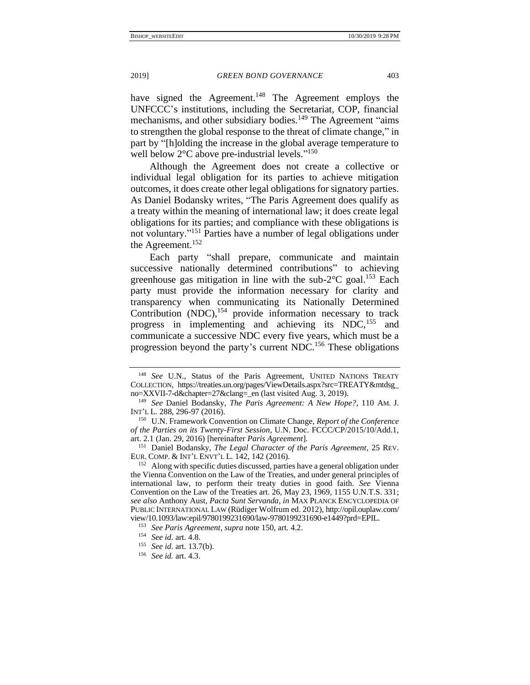have signed the Agreement.<sup>148</sup> The Agreement employs the UNFCCC's institutions, including the Secretariat, COP, financial mechanisms, and other subsidiary bodies.<sup>149</sup> The Agreement "aims" to strengthen the global response to the threat of climate change," in part by "[h]olding the increase in the global average temperature to well below 2°C above pre-industrial levels."<sup>150</sup>

Although the Agreement does not create a collective or individual legal obligation for its parties to achieve mitigation outcomes, it does create other legal obligations for signatory parties. As Daniel Bodansky writes, "The Paris Agreement does qualify as a treaty within the meaning of international law; it does create legal obligations for its parties; and compliance with these obligations is not voluntary." <sup>151</sup> Parties have a number of legal obligations under the Agreement.<sup>152</sup>

<span id="page-26-0"></span>Each party "shall prepare, communicate and maintain successive nationally determined contributions" to achieving greenhouse gas mitigation in line with the sub- $2^{\circ}$ C goal.<sup>153</sup> Each party must provide the information necessary for clarity and transparency when communicating its Nationally Determined Contribution  $(NDC)$ ,<sup>154</sup> provide information necessary to track progress in implementing and achieving its NDC,<sup>155</sup> and communicate a successive NDC every five years, which must be a progression beyond the party's current NDC.<sup>156</sup> These obligations

<span id="page-26-1"></span>

<sup>&</sup>lt;sup>148</sup> See U.N., Status of the Paris Agreement, UNITED NATIONS TREATY COLLECTION, [https://treaties.un.org/pages/ViewDetails.aspx?src=TREATY&mtdsg\\_](https://treaties.un.org/pages/ViewDetails.aspx?src=TREATY&mtdsg_no=XXVII-7-d&chapter=27&clang=_en) [no=XXVII-7-d&chapter=27&clang=\\_en](https://treaties.un.org/pages/ViewDetails.aspx?src=TREATY&mtdsg_no=XXVII-7-d&chapter=27&clang=_en) (last visited Aug. 3, 2019).

<sup>149</sup> *See* Daniel Bodansky, *The Paris Agreement: A New Hope?*, 110 AM. J. INT'L L*.* 288, 296-97 (2016).

<sup>150</sup> U.N. Framework Convention on Climate Change, *Report of the Conference of the Parties on its Twenty-First Session*, U.N. Doc. FCCC/CP/2015/10/Add.1, art. 2.1 (Jan. 29, 2016) [hereinafter *Paris Agreement*].

<sup>151</sup> Daniel Bodansky, *The Legal Character of the Paris Agreement*, 25 REV. EUR. COMP. & INT'L ENVT'L L*.* 142, 142 (2016).

<sup>&</sup>lt;sup>152</sup> Along with specific duties discussed, parties have a general obligation under the Vienna Convention on the Law of the Treaties, and under general principles of international law, to perform their treaty duties in good faith. *See* Vienna Convention on the Law of the Treaties art. 26, May 23, 1969, 1155 U.N.T.S. 331; *see also* Anthony Aust, *Pacta Sunt Servanda*, *in* MAX PLANCK ENCYCLOPEDIA OF PUBLIC INTERNATIONAL LAW (Rüdiger Wolfrum ed. 2012), http://opil.ouplaw.com/ view/10.1093/law:epil/9780199231690/law-9780199231690-e1449?prd=EPIL.

<sup>153</sup> *See Paris Agreement*, *supra* note 150, art. 4.2.

<sup>154</sup> *See id.* art. 4.8.

<sup>155</sup> *See id.* art. 13.7(b).

<sup>156</sup> *See id.* art. 4.3.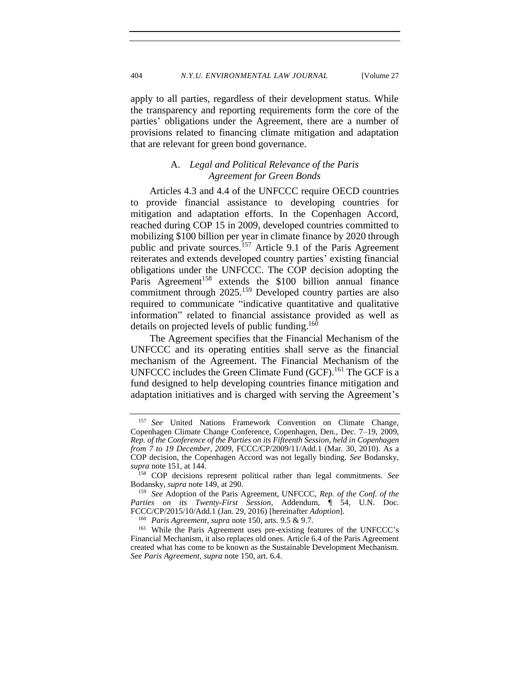apply to all parties, regardless of their development status. While the transparency and reporting requirements form the core of the parties' obligations under the Agreement, there are a number of provisions related to financing climate mitigation and adaptation that are relevant for green bond governance.

# A. *Legal and Political Relevance of the Paris Agreement for Green Bonds*

<span id="page-27-0"></span>Articles 4.3 and 4.4 of the UNFCCC require OECD countries to provide financial assistance to developing countries for mitigation and adaptation efforts. In the Copenhagen Accord, reached during COP 15 in 2009, developed countries committed to mobilizing \$100 billion per year in climate finance by 2020 through public and private sources.<sup>157</sup> Article 9.1 of the Paris Agreement reiterates and extends developed country parties' existing financial obligations under the UNFCCC. The COP decision adopting the Paris Agreement<sup>158</sup> extends the \$100 billion annual finance commitment through 2025.<sup>159</sup> Developed country parties are also required to communicate "indicative quantitative and qualitative information" related to financial assistance provided as well as details on projected levels of public funding.<sup>160</sup>

<span id="page-27-1"></span>The Agreement specifies that the Financial Mechanism of the UNFCCC and its operating entities shall serve as the financial mechanism of the Agreement. The Financial Mechanism of the UNFCCC includes the Green Climate Fund (GCF).<sup>161</sup> The GCF is a fund designed to help developing countries finance mitigation and adaptation initiatives and is charged with serving the Agreement's

<sup>157</sup> *See* United Nations Framework Convention on Climate Change, Copenhagen Climate Change Conference, Copenhagen, Den., Dec. 7–19, 2009, *Rep. of the Conference of the Parties on its Fifteenth Session, held in Copenhagen from 7 to 19 December, 2009,* FCCC/CP/2009/11/Add.1 (Mar. 30, 2010). As a COP decision, the Copenhagen Accord was not legally binding. *See* Bodansky, *supra* note [151,](#page-26-0) at 144.

<sup>158</sup> COP decisions represent political rather than legal commitments. *See*  Bodansky, *supra* not[e 149,](#page-26-1) at 290.

<sup>159</sup> *See* Adoption of the Paris Agreement, UNFCCC, *Rep. of the Conf. of the Parties on its Twenty-First Session*, Addendum, ¶ 54, U.N. Doc. FCCC/CP/2015/10/Add.1 (Jan. 29, 2016) [hereinafter *Adoption*].

<sup>160</sup> *Paris Agreement*, *supra* note 150, arts. 9.5 & 9.7.

<sup>&</sup>lt;sup>161</sup> While the Paris Agreement uses pre-existing features of the UNFCCC's Financial Mechanism, it also replaces old ones. Article 6.4 of the Paris Agreement created what has come to be known as the Sustainable Development Mechanism. *See Paris Agreement*, *supra* note 150, art. 6.4.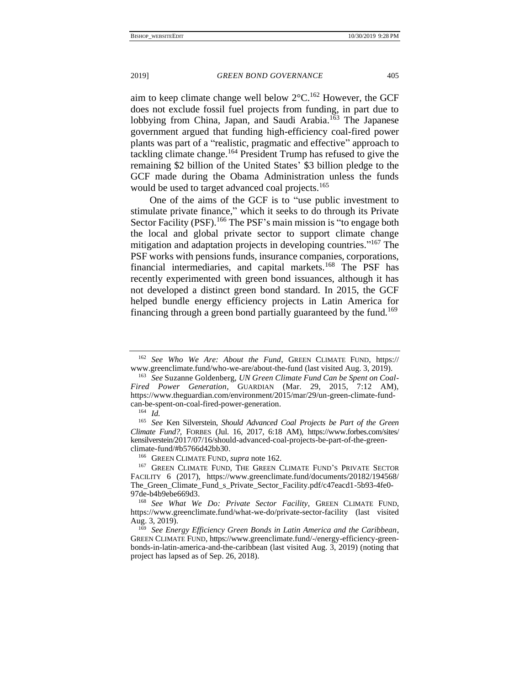aim to keep climate change well below 2°C. <sup>162</sup> However, the GCF does not exclude fossil fuel projects from funding, in part due to lobbying from China, Japan, and Saudi Arabia.<sup>163</sup> The Japanese government argued that funding high-efficiency coal-fired power plants was part of a "realistic, pragmatic and effective" approach to tackling climate change.<sup>164</sup> President Trump has refused to give the remaining \$2 billion of the United States' \$3 billion pledge to the GCF made during the Obama Administration unless the funds would be used to target advanced coal projects.<sup>165</sup>

One of the aims of the GCF is to "use public investment to stimulate private finance," which it seeks to do through its Private Sector Facility (PSF).<sup>166</sup> The PSF's main mission is "to engage both the local and global private sector to support climate change mitigation and adaptation projects in developing countries." <sup>167</sup> The PSF works with pensions funds, insurance companies, corporations, financial intermediaries, and capital markets.<sup>168</sup> The PSF has recently experimented with green bond issuances, although it has not developed a distinct green bond standard. In 2015, the GCF helped bundle energy efficiency projects in Latin America for financing through a green bond partially guaranteed by the fund.<sup>169</sup>

<span id="page-28-0"></span>

<sup>162</sup> *See Who We Are: About the Fund*, GREEN CLIMATE FUND, [https://](https://www.greenclimate.fund/who-we-are/about-the-fund) [www.greenclimate.fund/who-we-are/about-the-fund](https://www.greenclimate.fund/who-we-are/about-the-fund) (last visited Aug. 3, 2019).

<sup>163</sup> *See* Suzanne Goldenberg, *UN Green Climate Fund Can be Spent on Coal-Fired Power Generation*, GUARDIAN (Mar. 29, 2015, 7:12 AM), [https://www.theguardian.com/environment/2015/mar/29/un-green-climate-fund](https://www.theguardian.com/environment/2015/mar/29/un-green-climate-fund-can-be-spent-on-coal-fired-power-generation)[can-be-spent-on-coal-fired-power-generation.](https://www.theguardian.com/environment/2015/mar/29/un-green-climate-fund-can-be-spent-on-coal-fired-power-generation)

<sup>164</sup> *Id.*

<sup>165</sup> *See* Ken Silverstein, *Should Advanced Coal Projects be Part of the Green Climate Fund?*, FORBES (Jul. 16, 2017, 6:18 AM), https://www.forbes.com/sites/ kensilverstein/2017/07/16/should-advanced-coal-projects-be-part-of-the-greenclimate-fund/#b5766d42bb30.

<sup>166</sup> GREEN CLIMATE FUND, *supra* note [162.](#page-28-0)

<sup>&</sup>lt;sup>167</sup> GREEN CLIMATE FUND, THE GREEN CLIMATE FUND'S PRIVATE SECTOR FACILITY 6 (2017), [https://www.greenclimate.fund/documents/20182/194568/](https://www.greenclimate.fund/documents/20182/194568/The_Green_Climate_Fund_s_Private_Sector_Facility.pdf/c47eacd1-5b93-4fe0-97de-b4b9ebe669d3) [The\\_Green\\_Climate\\_Fund\\_s\\_Private\\_Sector\\_Facility.pdf/c47eacd1-5b93-4fe0-](https://www.greenclimate.fund/documents/20182/194568/The_Green_Climate_Fund_s_Private_Sector_Facility.pdf/c47eacd1-5b93-4fe0-97de-b4b9ebe669d3) [97de-b4b9ebe669d3.](https://www.greenclimate.fund/documents/20182/194568/The_Green_Climate_Fund_s_Private_Sector_Facility.pdf/c47eacd1-5b93-4fe0-97de-b4b9ebe669d3)

<sup>168</sup> *See What We Do: Private Sector Facility*, GREEN CLIMATE FUND, <https://www.greenclimate.fund/what-we-do/private-sector-facility> (last visited Aug. 3, 2019).

<sup>169</sup> *See Energy Efficiency Green Bonds in Latin America and the Caribbean*, GREEN CLIMATE FUND[, https://www.greenclimate.fund/-/energy-efficiency-green](https://www.greenclimate.fund/-/energy-efficiency-green-bonds-in-latin-america-and-the-caribbean)[bonds-in-latin-america-and-the-caribbean](https://www.greenclimate.fund/-/energy-efficiency-green-bonds-in-latin-america-and-the-caribbean) (last visited Aug. 3, 2019) (noting that project has lapsed as of Sep. 26, 2018).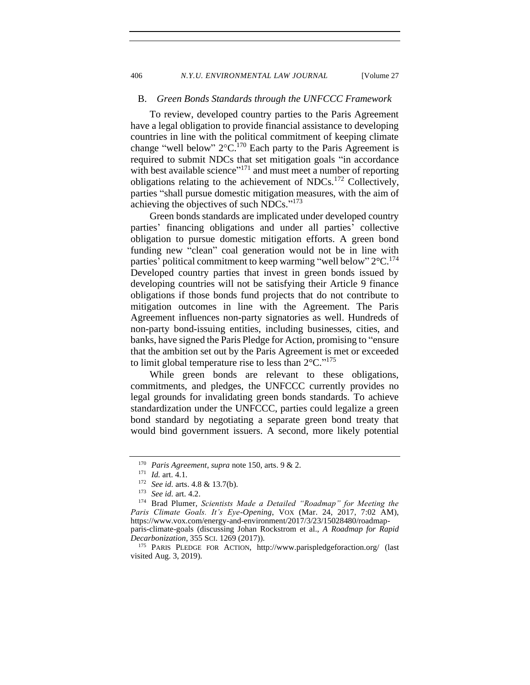### <span id="page-29-0"></span>B. *Green Bonds Standards through the UNFCCC Framework*

To review, developed country parties to the Paris Agreement have a legal obligation to provide financial assistance to developing countries in line with the political commitment of keeping climate change "well below"  $2^{\circ}C^{170}$  Each party to the Paris Agreement is required to submit NDCs that set mitigation goals "in accordance with best available science"<sup>171</sup> and must meet a number of reporting obligations relating to the achievement of NDCs.<sup>172</sup> Collectively, parties "shall pursue domestic mitigation measures, with the aim of achieving the objectives of such NDCs."<sup>173</sup>

Green bonds standards are implicated under developed country parties' financing obligations and under all parties' collective obligation to pursue domestic mitigation efforts. A green bond funding new "clean" coal generation would not be in line with parties' political commitment to keep warming "well below" 2°C.<sup>174</sup> Developed country parties that invest in green bonds issued by developing countries will not be satisfying their Article 9 finance obligations if those bonds fund projects that do not contribute to mitigation outcomes in line with the Agreement. The Paris Agreement influences non-party signatories as well. Hundreds of non-party bond-issuing entities, including businesses, cities, and banks, have signed the Paris Pledge for Action, promising to "ensure that the ambition set out by the Paris Agreement is met or exceeded to limit global temperature rise to less than  $2^{\circ}$ C."<sup>175</sup>

While green bonds are relevant to these obligations, commitments, and pledges, the UNFCCC currently provides no legal grounds for invalidating green bonds standards. To achieve standardization under the UNFCCC, parties could legalize a green bond standard by negotiating a separate green bond treaty that would bind government issuers. A second, more likely potential

<sup>170</sup> *Paris Agreement*, *supra* note 150, arts. 9 & 2.

<sup>171</sup> *Id.* art. 4.1.

<sup>&</sup>lt;sup>172</sup> *See id.* arts. 4.8 & 13.7(b).<br><sup>173</sup> *See id.* art. 4.2

<sup>173</sup> *See id.* art. 4.2.

<sup>174</sup> Brad Plumer, *Scientists Made a Detailed "Roadmap" for Meeting the Paris Climate Goals. It's Eye-Opening*, VOX (Mar. 24, 2017, 7:02 AM), [https://www.vox.com/energy-and-environment/2017/3/23/15028480/roadmap](https://www.vox.com/energy-and-environment/2017/3/23/15028480/roadmap-paris-climate-goals)[paris-climate-goals](https://www.vox.com/energy-and-environment/2017/3/23/15028480/roadmap-paris-climate-goals) (discussing Johan Rockstrom et al., *A Roadmap for Rapid Decarbonization*, 355 SCI. 1269 (2017)).

<sup>175</sup> PARIS PLEDGE FOR ACTION, <http://www.parispledgeforaction.org/> (last visited Aug. 3, 2019).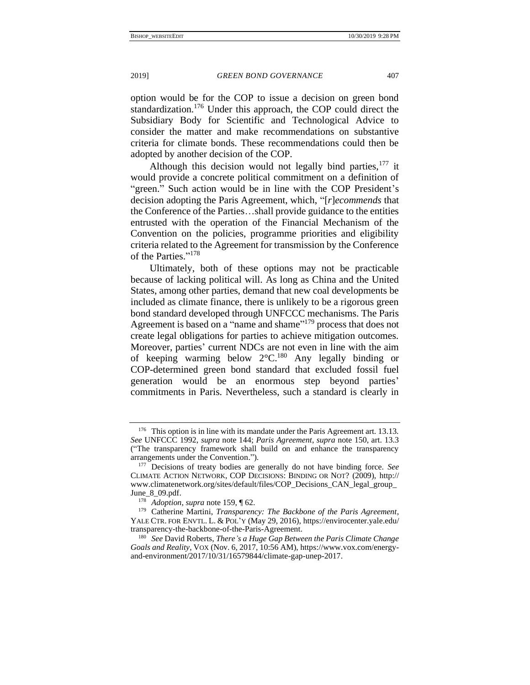option would be for the COP to issue a decision on green bond standardization.<sup>176</sup> Under this approach, the COP could direct the Subsidiary Body for Scientific and Technological Advice to consider the matter and make recommendations on substantive criteria for climate bonds. These recommendations could then be adopted by another decision of the COP.

Although this decision would not legally bind parties,  $177$  it would provide a concrete political commitment on a definition of "green." Such action would be in line with the COP President's decision adopting the Paris Agreement, which, "[*r*]*ecommends* that the Conference of the Parties…shall provide guidance to the entities entrusted with the operation of the Financial Mechanism of the Convention on the policies, programme priorities and eligibility criteria related to the Agreement for transmission by the Conference of the Parties." 178

Ultimately, both of these options may not be practicable because of lacking political will. As long as China and the United States, among other parties, demand that new coal developments be included as climate finance, there is unlikely to be a rigorous green bond standard developed through UNFCCC mechanisms. The Paris Agreement is based on a "name and shame"<sup>179</sup> process that does not create legal obligations for parties to achieve mitigation outcomes. Moreover, parties' current NDCs are not even in line with the aim of keeping warming below  $2^{\circ}C^{180}$  Any legally binding or COP-determined green bond standard that excluded fossil fuel generation would be an enormous step beyond parties' commitments in Paris. Nevertheless, such a standard is clearly in

 $176$  This option is in line with its mandate under the Paris Agreement art. 13.13. *See* UNFCCC 1992, *supra* note [144;](#page-25-2) *Paris Agreement*, *supra* note 150, art. 13.3 ("The transparency framework shall build on and enhance the transparency arrangements under the Convention.").

<sup>177</sup> Decisions of treaty bodies are generally do not have binding force. *See*  CLIMATE ACTION NETWORK, COP DECISIONS: BINDING OR NOT? (2009), [http://](http://www.climatenetwork.org/sites/default/files/COP_Decisions_CAN_legal_group_June_8_09.pdf) [www.climatenetwork.org/sites/default/files/COP\\_Decisions\\_CAN\\_legal\\_group\\_](http://www.climatenetwork.org/sites/default/files/COP_Decisions_CAN_legal_group_June_8_09.pdf) [June\\_8\\_09.pdf.](http://www.climatenetwork.org/sites/default/files/COP_Decisions_CAN_legal_group_June_8_09.pdf)

<sup>178</sup> *Adoption*, *supra* not[e 159,](#page-27-1) ¶ 62.

<sup>179</sup> Catherine Martini, *Transparency: The Backbone of the Paris Agreement*, YALE CTR. FOR ENVTL. L. & POL'Y (May 29, 2016), [https://envirocenter.yale.edu/](https://envirocenter.yale.edu/transparency-the-backbone-of-the-Paris-Agreement) [transparency-the-backbone-of-the-Paris-Agreement.](https://envirocenter.yale.edu/transparency-the-backbone-of-the-Paris-Agreement)

<sup>180</sup> *See* David Roberts, *There's a Huge Gap Between the Paris Climate Change Goals and Reality*, VOX (Nov. 6, 2017, 10:56 AM), [https://www.vox.com/energy](https://www.vox.com/energy-and-environment/2017/10/31/16579844/climate-gap-unep-2017)[and-environment/2017/10/31/16579844/climate-gap-unep-2017.](https://www.vox.com/energy-and-environment/2017/10/31/16579844/climate-gap-unep-2017)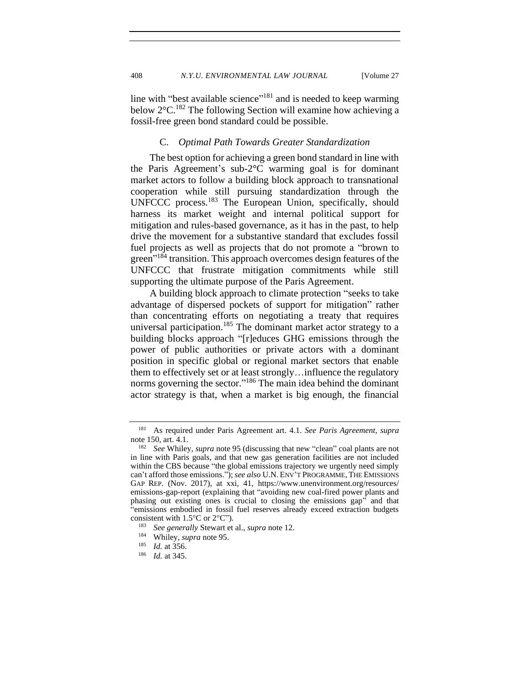408 *N.Y.U. ENVIRONMENTAL LAW JOURNAL* [Volume 27

line with "best available science"<sup>181</sup> and is needed to keep warming below 2°C. <sup>182</sup> The following Section will examine how achieving a fossil-free green bond standard could be possible.

# C. *Optimal Path Towards Greater Standardization*

<span id="page-31-0"></span>The best option for achieving a green bond standard in line with the Paris Agreement's sub-2°C warming goal is for dominant market actors to follow a building block approach to transnational cooperation while still pursuing standardization through the UNFCCC process.<sup>183</sup> The European Union, specifically, should harness its market weight and internal political support for mitigation and rules-based governance, as it has in the past, to help drive the movement for a substantive standard that excludes fossil fuel projects as well as projects that do not promote a "brown to green<sup>"184</sup> transition. This approach overcomes design features of the UNFCCC that frustrate mitigation commitments while still supporting the ultimate purpose of the Paris Agreement.

A building block approach to climate protection "seeks to take advantage of dispersed pockets of support for mitigation" rather than concentrating efforts on negotiating a treaty that requires universal participation.<sup>185</sup> The dominant market actor strategy to a building blocks approach "[r]educes GHG emissions through the power of public authorities or private actors with a dominant position in specific global or regional market sectors that enable them to effectively set or at least strongly…influence the regulatory norms governing the sector."<sup>186</sup> The main idea behind the dominant actor strategy is that, when a market is big enough, the financial

<sup>181</sup> As required under Paris Agreement art. 4.1. *See Paris Agreement*, *supra* note 150, art. 4.1.

<sup>182</sup> *See* Whiley, *supra* not[e 95](#page-16-0) (discussing that new "clean" coal plants are not in line with Paris goals, and that new gas generation facilities are not included within the CBS because "the global emissions trajectory we urgently need simply can't afford those emissions."); *see also* U.N. ENV'T PROGRAMME, THE EMISSIONS GAP REP. (Nov. 2017), at xxi, 41, https://www.unenvironment.org/resources/ emissions-gap-report (explaining that "avoiding new coal-fired power plants and phasing out existing ones is crucial to closing the emissions gap" and that "emissions embodied in fossil fuel reserves already exceed extraction budgets consistent with  $1.5^{\circ}$ C or  $2^{\circ}$ C").<br><sup>183</sup> See generally Stewart et

<sup>183</sup> *See generally* Stewart et al., *supra* not[e 12.](#page-3-1)

<sup>&</sup>lt;sup>184</sup> Whiley, *supra* note 95.<br><sup>185</sup> *Id.* at 356

*Id.* at 356.

<sup>186</sup> *Id.* at 345.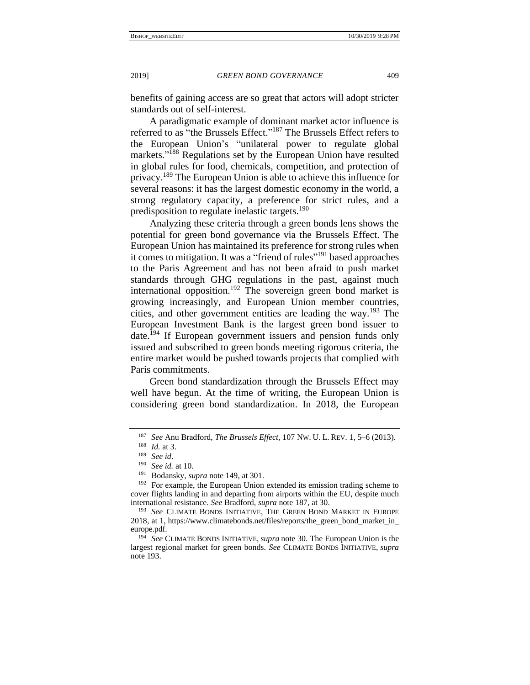<span id="page-32-1"></span><span id="page-32-0"></span>

benefits of gaining access are so great that actors will adopt stricter standards out of self-interest.

A paradigmatic example of dominant market actor influence is referred to as "the Brussels Effect."<sup>187</sup> The Brussels Effect refers to the European Union's "unilateral power to regulate global markets."<sup>188</sup> Regulations set by the European Union have resulted in global rules for food, chemicals, competition, and protection of privacy.<sup>189</sup> The European Union is able to achieve this influence for several reasons: it has the largest domestic economy in the world, a strong regulatory capacity, a preference for strict rules, and a predisposition to regulate inelastic targets.<sup>190</sup>

Analyzing these criteria through a green bonds lens shows the potential for green bond governance via the Brussels Effect. The European Union has maintained its preference for strong rules when it comes to mitigation. It was a "friend of rules"<sup>191</sup> based approaches to the Paris Agreement and has not been afraid to push market standards through GHG regulations in the past, against much international opposition.<sup>192</sup> The sovereign green bond market is growing increasingly, and European Union member countries, cities, and other government entities are leading the way.<sup>193</sup> The European Investment Bank is the largest green bond issuer to date.<sup>194</sup> If European government issuers and pension funds only issued and subscribed to green bonds meeting rigorous criteria, the entire market would be pushed towards projects that complied with Paris commitments.

Green bond standardization through the Brussels Effect may well have begun. At the time of writing, the European Union is considering green bond standardization. In 2018, the European

<sup>187</sup> *See* Anu Bradford, *The Brussels Effect*, 107 NW. U. L. REV. 1, 5–6 (2013).

 $\frac{188}{189}$  *Id.* at 3.

<sup>189</sup> *See id*.

 $^{190}$  *See id.* at 10.

<sup>&</sup>lt;sup>191</sup> Bodansky, *supra* not[e 149,](#page-26-1) at 301.<br><sup>192</sup> For example, the European Union

For example, the European Union extended its emission trading scheme to cover flights landing in and departing from airports within the EU, despite much international resistance. *See* Bradford, *supra* note [187,](#page-32-0) at 30.

<sup>193</sup> *See* CLIMATE BONDS INITIATIVE, THE GREEN BOND MARKET IN EUROPE 2018, at 1, [https://www.climatebonds.net/files/reports/the\\_green\\_bond\\_market\\_in\\_](https://www.climatebonds.net/files/reports/the_green_bond_market_in_europe.pdf) [europe.pdf.](https://www.climatebonds.net/files/reports/the_green_bond_market_in_europe.pdf)

<sup>&</sup>lt;sup>194</sup> See CLIMATE BONDS INITIATIVE, *supra* not[e 30.](#page-6-1) The European Union is the largest regional market for green bonds. *See* CLIMATE BONDS INITIATIVE, *supra*  note [193.](#page-32-1)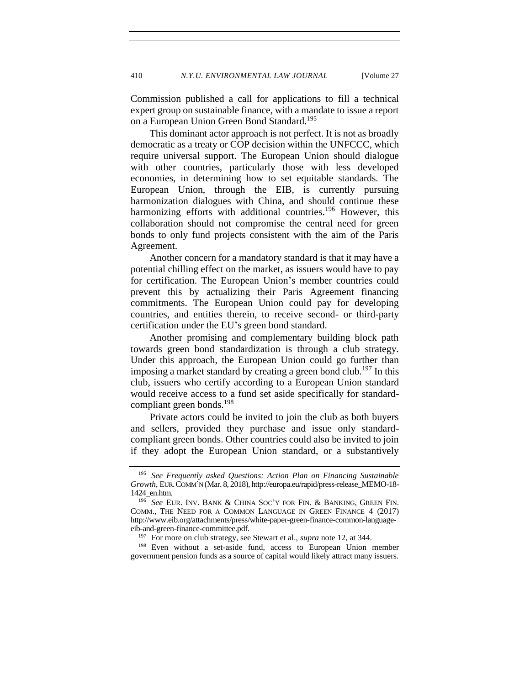Commission published a call for applications to fill a technical expert group on sustainable finance, with a mandate to issue a report on a European Union Green Bond Standard.<sup>195</sup>

This dominant actor approach is not perfect. It is not as broadly democratic as a treaty or COP decision within the UNFCCC, which require universal support. The European Union should dialogue with other countries, particularly those with less developed economies, in determining how to set equitable standards. The European Union, through the EIB, is currently pursuing harmonization dialogues with China, and should continue these harmonizing efforts with additional countries.<sup>196</sup> However, this collaboration should not compromise the central need for green bonds to only fund projects consistent with the aim of the Paris Agreement.

Another concern for a mandatory standard is that it may have a potential chilling effect on the market, as issuers would have to pay for certification. The European Union's member countries could prevent this by actualizing their Paris Agreement financing commitments. The European Union could pay for developing countries, and entities therein, to receive second- or third-party certification under the EU's green bond standard.

Another promising and complementary building block path towards green bond standardization is through a club strategy. Under this approach, the European Union could go further than imposing a market standard by creating a green bond club.<sup>197</sup> In this club, issuers who certify according to a European Union standard would receive access to a fund set aside specifically for standardcompliant green bonds. $198$ 

Private actors could be invited to join the club as both buyers and sellers, provided they purchase and issue only standardcompliant green bonds. Other countries could also be invited to join if they adopt the European Union standard, or a substantively

<sup>198</sup> Even without a set-aside fund, access to European Union member government pension funds as a source of capital would likely attract many issuers.

<sup>195</sup> *See Frequently asked Questions: Action Plan on Financing Sustainable Growth*, EUR.COMM'N (Mar. 8, 2018)[, http://europa.eu/rapid/press-release\\_MEMO-18-](http://europa.eu/rapid/press-release_MEMO-18-1424_en.htm) [1424\\_en.htm.](http://europa.eu/rapid/press-release_MEMO-18-1424_en.htm)

<sup>196</sup> *See* EUR. INV. BANK & CHINA SOC'Y FOR FIN. & BANKING, GREEN FIN. COMM., THE NEED FOR A COMMON LANGUAGE IN GREEN FINANCE 4 (2017) [http://www.eib.org/attachments/press/white-paper-green-finance-common-language](http://www.eib.org/attachments/press/white-paper-green-finance-common-language-eib-and-green-finance-committee.pdf)[eib-and-green-finance-committee.pdf.](http://www.eib.org/attachments/press/white-paper-green-finance-common-language-eib-and-green-finance-committee.pdf)

<sup>197</sup> For more on club strategy, see Stewart et al., *supra* note [12,](#page-3-1) at 344.